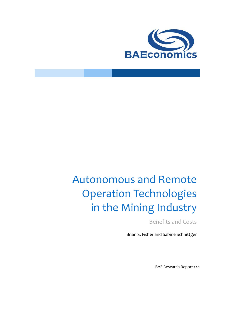

# Autonomous and Remote Operation Technologies in the Mining Industry

Benefits and Costs

Brian S. Fisher and Sabine Schnittger

BAE Research Report 12.1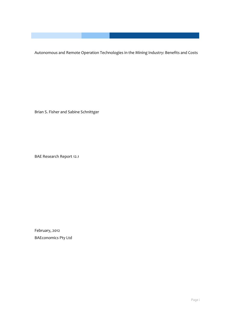Autonomous and Remote Operation Technologies in the Mining Industry: Benefits and Costs

Brian S. Fisher and Sabine Schnittger

BAE Research Report 12.1

February, 2012 BAEconomics Pty Ltd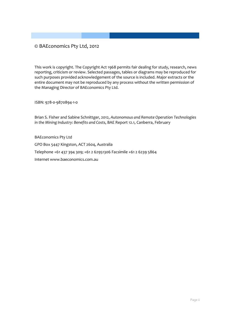#### © BAEconomics Pty Ltd, 2012

This work is copyright. The Copyright Act 1968 permits fair dealing for study, research, news reporting, criticism or review. Selected passages, tables or diagrams may be reproduced for such purposes provided acknowledgement of the source is included. Major extracts or the entire document may not be reproduced by any process without the written permission of the Managing Director of BAEconomics Pty Ltd.

ISBN: 978-0-9870894-1-0

Brian S. Fisher and Sabine Schnittger, 2012, *Autonomous and Remote Operation Technologies in the Mining Industry: Benefits and Costs*, BAE Report 12.1, Canberra, February

BAEconomics Pty Ltd GPO Box 5447 Kingston, ACT 2604, Australia Telephone +61 437 394 309; +61 2 62951306 Facsimile +61 2 6239 5864 Internet www.baeconomics.com.au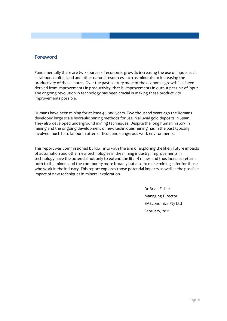#### **Foreword**

Fundamentally there are two sources of economic growth: increasing the use of inputs such as labour, capital, land and other natural resources such as minerals; or increasing the productivity of those inputs. Over the past century most of the economic growth has been derived from improvements in productivity, that is, improvements in output per unit of input. The ongoing revolution in technology has been crucial in making these productivity improvements possible.

Humans have been mining for at least 40 000 years. Two thousand years ago the Romans developed large scale hydraulic mining methods for use in alluvial gold deposits in Spain. They also developed underground mining techniques. Despite the long human history in mining and the ongoing development of new techniques mining has in the past typically involved much hard labour in often difficult and dangerous work environments.

This report was commissioned by Rio Tinto with the aim of exploring the likely future impacts of automation and other new technologies in the mining industry. Improvements in technology have the potential not only to extend the life of mines and thus increase returns both to the miners and the community more broadly but also to make mining safer for those who work in the industry. This report explores those potential impacts as well as the possible impact of new techniques in mineral exploration.

> Dr Brian Fisher Managing Director BAEconomics Pty Ltd February, 2012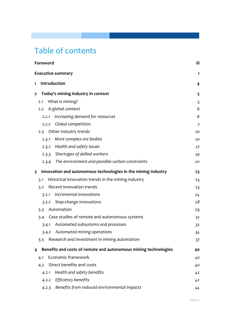## Table of contents

| Foreword                |                                                                 | iii |
|-------------------------|-----------------------------------------------------------------|-----|
|                         | <b>Executive summary</b>                                        | 1   |
| $\mathbf{1}$            | Introduction                                                    | 4   |
| $\mathbf{2}$            | Today's mining industry in context                              | 5   |
| 2.1                     | What is mining?                                                 | 5   |
| 2.2                     | A global context                                                | 6   |
| 2.2.1                   | Increasing demand for resources                                 | 6   |
| 2.2.2                   | Global competition                                              | 7   |
| 2.3                     | Other industry trends                                           | 10  |
| 2.3.1                   | More complex ore bodies                                         | 10  |
|                         | Health and safety issues<br>2.3.2                               | 17  |
|                         | 2.3.3 Shortages of skilled workers                              | 19  |
|                         | 2.3.4 The environment and possible carbon constraints           | 20  |
| $\overline{\mathbf{3}}$ | Innovation and autonomous technologies in the mining industry   | 23  |
| 3.1                     | Historical innovation trends in the mining industry             | 23  |
| 3.2                     | Recent innovation trends                                        | 23  |
| 3.2.1                   | Incremental innovations                                         | 24  |
|                         | Step-change innovations<br>3.2.2                                | 28  |
| 3.3                     | Automation                                                      | 29  |
| 3.4                     | Case studies of remote and autonomous systems                   | 31  |
| 3.4.1                   | Automated subsystems and processes                              | 31  |
|                         | 3.4.2 Automated mining operations                               | 34  |
| 3.5                     | Research and investment in mining automation                    | 37  |
| 4                       | Benefits and costs of remote and autonomous mining technologies | 40  |
| 4.1                     | Economic framework                                              | 40  |
| 4.2                     | Direct benefits and costs                                       | 40  |
| 4.2.1                   | Health and safety benefits                                      | 41  |
|                         | 4.2.2 Efficiency benefits                                       | 42  |
|                         | Benefits from reduced environmental impacts<br>4.2.3            | 44  |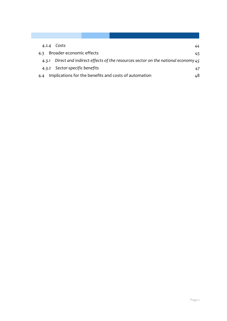| 4.2.4 Costs<br>44                                                                      |
|----------------------------------------------------------------------------------------|
| Broader economic effects<br>4.3<br>45                                                  |
| 4.3.1 Direct and indirect effects of the resources sector on the national economy $45$ |
| 4.3.2 Sector-specific benefits<br>47                                                   |
| Implications for the benefits and costs of automation<br>48                            |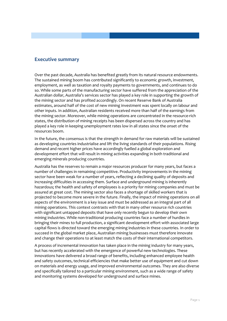#### **Executive summary**

Over the past decade, Australia has benefited greatly from its natural resource endowments. The sustained mining boom has contributed significantly to economic growth, investment, employment, as well as taxation and royalty payments to governments, and continues to do so. While some parts of the manufacturing sector have suffered from the appreciation of the Australian dollar, Australia's services sector has played a key role in supporting the growth of the mining sector and has profited accordingly. On recent Reserve Bank of Australia estimates, around half of the cost of new mining investment was spent locally on labour and other inputs. In addition, Australian residents received more than half of the earnings from the mining sector. Moreover, while mining operations are concentrated in the resource-rich states, the distribution of mining receipts has been dispersed across the country and has played a key role in keeping unemployment rates low in all states since the onset of the resources boom.

In the future, the consensus is that the strength in demand for raw materials will be sustained as developing countries industrialise and lift the living standards of their populations. Rising demand and recent higher prices have accordingly fuelled a global exploration and development effort that will result in mining activities expanding in both traditional and emerging minerals producing countries.

Australia has the reserves to remain a major resources producer for many years, but faces a number of challenges in remaining competitive. Productivity improvements in the mining sector have been weak for a number of years, reflecting a declining quality of deposits and increasing difficulties in accessing them. Surface and underground mining is inherently hazardous; the health and safety of employees is a priority for mining companies and must be assured at great cost. The mining sector also faces a shortage of skilled workers that is projected to become more severe in the future. Finally, the impact of mining operations on all aspects of the environment is a key issue and must be addressed as an integral part of all mining operations. This context contrasts with that in many other resource rich countries with significant untapped deposits that have only recently begun to develop their own mining industries. While non-traditional producing countries face a number of hurdles in bringing their mines to full production, a significant development effort with associated large capital flows is directed toward the emerging mining industries in these countries. In order to succeed in the global market place, Australian mining businesses must therefore innovate and change their operations to at least match the costs of their international competitors.

A process of incremental innovation has taken place in the mining industry for many years, but has recently accelerated with the emergence of powerful new technologies. These innovations have delivered a broad range of benefits, including enhanced employee health and safety outcomes, technical efficiencies that make better use of equipment and cut down on materials and energy usage, and improved environmental outcomes. They are also diverse and specifically tailored to a particular mining environment, such as a wide range of safety and monitoring systems developed for underground and surface mines.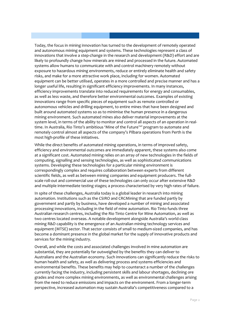Today, the focus in mining innovation has turned to the development of remotely operated and autonomous mining equipment and systems. These technologies represent a class of innovations that involve a step-change in the research and development (R&D) effort and are likely to profoundly change how minerals are mined and processed in the future. Automated systems allow humans to communicate with and control machinery remotely without exposure to hazardous mining environments, reduce or entirely eliminate health and safety risks, and make for a more attractive work place, including for women. Automated equipment can be better utilised, operates in a more controlled and precise manner and has a longer useful life, resulting in significant efficiency improvements. In many instances, efficiency improvements translate into reduced requirements for energy and consumables, as well as less waste, and therefore better environmental outcomes. Examples of existing innovations range from specific pieces of equipment such as remote controlled or autonomous vehicles and drilling equipment, to entire mines that have been designed and built around automated systems so as to minimise the human presence in a dangerous mining environment. Such automated mines also deliver material improvements at the system level, in terms of the ability to monitor and control all aspects of an operation in realtime. In Australia, Rio Tinto's ambitious 'Mine of the Future™' program to automate and remotely control almost all aspects of the company's Pilbara operations from Perth is the most high-profile of these initiatives.

While the direct benefits of automated mining operations, in terms of improved safety, efficiency and environmental outcomes are immediately apparent, these systems also come at a significant cost. Automated mining relies on an array of new technologies in the fields of computing, signalling and sensing technologies, as well as sophisticated communications systems. Developing these technologies for a particular mining environment is correspondingly complex and requires collaboration between experts from different scientific fields, as well as between mining companies and equipment producers. The fullscale roll-out and commercial use of these technologies can only occur after extensive R&D and multiple intermediate testing stages; a process characterised by very high rates of failure.

In spite of these challenges, Australia today is a global leader in research into mining automation. Institutions such as the CSIRO and CRCMining that are funded partly by government and partly by business, have developed a number of mining and associated processing innovations, including in the field of mine automation. Rio Tinto funds three Australian research centres, including the Rio Tinto Centre for Mine Automation, as well as two centres located overseas. A notable development alongside Australia's world-class mining R&D capability is the emergence of an Australian mining technology services and equipment (MTSE) sector. That sector consists of small to medium-sized companies, and has become a dominant presence in the global market for the supply of innovative products and services for the mining industry.

Overall, and while the costs and associated challenges involved in mine automation are substantial, they are potentially far outweighed by the benefits they can deliver to Australians and the Australian economy. Such innovations can significantly reduce the risks to human health and safety, as well as delivering process and systems efficiencies and environmental benefits. These benefits may help to counteract a number of the challenges currently facing the industry, including persistent skills and labour shortages, declining ore grades and more complex mining environments, as well as environmental challenges arising from the need to reduce emissions and impacts on the environment. From a longer-term perspective, increased automation may sustain Australia's competitiveness compared to a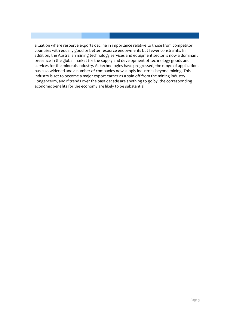situation where resource exports decline in importance relative to those from competitor countries with equally good or better resource endowments but fewer constraints. In addition, the Australian mining technology services and equipment sector is now a dominant presence in the global market for the supply and development of technology goods and services for the minerals industry. As technologies have progressed, the range of applications has also widened and a number of companies now supply industries beyond mining. This industry is set to become a major export earner as a spin-off from the mining industry. Longer-term, and if trends over the past decade are anything to go by, the corresponding economic benefits for the economy are likely to be substantial.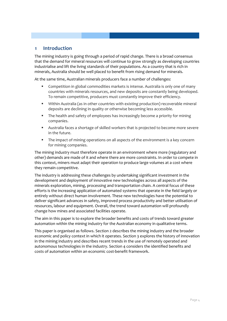#### **1 Introduction**

The mining industry is going through a period of rapid change. There is a broad consensus that the demand for mineral resources will continue to grow strongly as developing countries industrialise and lift the living standards of their populations. As a country that is rich in minerals, Australia should be well placed to benefit from rising demand for minerals.

At the same time, Australian minerals producers face a number of challenges:

- Competition in global commodities markets is intense. Australia is only one of many countries with minerals resources, and new deposits are constantly being developed. To remain competitive, producers must constantly improve their efficiency.
- Within Australia (as in other countries with existing production) recoverable mineral deposits are declining in quality or otherwise becoming less accessible.
- The health and safety of employees has increasingly become a priority for mining companies.
- Australia faces a shortage of skilled workers that is projected to become more severe in the future.
- The impact of mining operations on all aspects of the environment is a key concern for mining companies.

The mining industry must therefore operate in an environment where more (regulatory and other) demands are made of it and where there are more constraints. In order to compete in this context, miners must adapt their operation to produce large volumes at a cost where they remain competitive.

The industry is addressing these challenges by undertaking significant investment in the development and deployment of innovative new technologies across all aspects of the minerals exploration, mining, processing and transportation chain. A central focus of these efforts is the increasing application of automated systems that operate in the field largely or entirely without direct human involvement. These new technologies have the potential to deliver significant advances in safety, improved process productivity and better utilisation of resources, labour and equipment. Overall, the trend toward automation will profoundly change how mines and associated facilities operate.

The aim in this paper is to explore the broader benefits and costs of trends toward greater automation within the mining industry for the Australian economy in qualitative terms.

This paper is organised as follows. Sectio[n 2](#page-10-0) describes the mining industry and the broader economic and policy context in which it operates. Sectio[n 3](#page-28-0) explores the history of innovation in the mining industry and describes recent trends in the use of remotely operated and autonomous technologies in the industry. Section [4](#page-45-0) considers the identified benefits and costs of automation within an economic cost-benefit framework.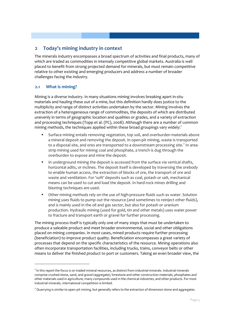#### <span id="page-10-0"></span>**2 Today's mining industry in context**

The minerals industry encompasses a broad spectrum of activities and final products, many of which are traded as commodities in intensely competitive global markets. Australia is well placed to benefit from strong projected demand for minerals, but must remain competitive relative to other existing and emerging producers and address a number of broader challenges facing the industry.

#### **2.1 What is mining?**

1

Mining is a diverse industry. In many situations mining involves breaking apart in-situ materials and hauling these out of a mine, but this definition hardly does justice to the multiplicity and range of distinct activities undertaken by the sector. Mining involves the extraction of a heterogeneous range of commodities, the deposits of which are distributed unevenly in terms of geographic location and qualities or grades, and a variety of extraction and processing techniques (Topp et al. (PC), 2008). Although there are a number of common mining methods, the techniques applied within these broad groupings vary widely:<sup>[1](#page-10-1)</sup>

- Surface mining entails removing vegetation, top soil, and overburden materials above a mineral deposit and removing the deposit. In open-pit mining, waste is transported to a disposal site, and ores are transported to a downstream processing site.<sup>[2](#page-10-2)</sup> In areastrip mining used for mining coal and phosphate, a trench is dug through the overburden to expose and mine the deposit.
- In underground mining the deposit is accessed from the surface via vertical shafts, horizontal adits, or inclines. The deposit itself is developed by traversing the orebody to enable human access, the extraction of blocks of ore, the transport of ore and waste and ventilation. For 'soft' deposits such as coal, potash or salt, mechanical means can be used to cut and load the deposit. In hard-rock mines drilling and blasting techniques are used.
- Other mining methods rely on the use of high-pressure fluids such as water. Solution mining uses fluids to pump out the resource (and sometimes to reinject other fluids), and is mainly used in the oil and gas sector, but also for potash or uranium production. Hydraulic mining (used for gold, tin and other metals) uses water power to fracture and transport earth or gravel for further processing.

The mining process itself is typically only one of many steps that must be undertaken to produce a saleable product and meet broader environmental, social and other obligations placed on mining companies. In most cases, mined products require further processing (beneficiation) to improve product quality. Beneficiation encompasses a great variety of processes that depend on the specific characteristics of the resource. Mining operations also often incorporate transportation facilities, including trucks, trains, conveyor belts or other means to deliver the finished product to port or customers. Taking an even broader view, the

<span id="page-10-1"></span><sup>&</sup>lt;sup>1</sup> In this report the focus is on traded mineral resources, as distinct from industrial minerals. Industrial minerals comprise crushed stone, sand, and gravel (aggregate); limestone and other construction materials; phosphates and other materials used in agriculture; many compounds used in the chemical industries; and other products. For most industrial minerals, international competition is limited.

<span id="page-10-2"></span><sup>&</sup>lt;sup>2</sup> Quarrying is similar to open-pit mining, but generally refers to the extraction of dimension stone and aggregates.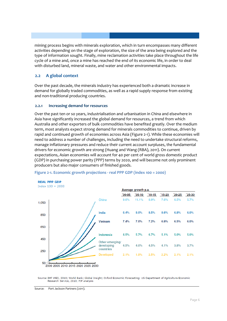mining process begins with minerals exploration, which in turn encompasses many different activities depending on the stage of exploration, the size of the area being explored and the type of information sought. Finally, mine reclamation activities take place throughout the life cycle of a mine and, once a mine has reached the end of its economic life, in order to deal with disturbed land, mineral waste, and water and other environmental impacts.

#### **2.2 A global context**

Over the past decade, the minerals industry has experienced both a dramatic increase in demand for globally traded commodities, as well as a rapid supply response from existing and non-traditional producing countries.

#### **2.2.1 Increasing demand for resources**

Over the past ten or so years, industrialisation and urbanisation in China and elsewhere in Asia have significantly increased the global demand for resources, a trend from which Australia and other exporters of bulk commodities have benefited greatly. Over the medium term, most analysts expect strong demand for minerals commodities to continue, driven by rapid and continued growth of economies across Asia [\(Figure 2-1\)](#page-11-0). While these economies will need to address a number of challenges, including the need to undertake structural reforms, manage inflationary pressures and reduce their current account surpluses, the fundamental drivers for economic growth are strong (Huang and Wang (RBA), 2011). On current expectations, Asian economies will account for 40 per cent of world gross domestic product (GDP) in purchasing power parity (PPP) terms by 2020, and will become not only prominent producers but also major consumers of finished goods.



#### <span id="page-11-0"></span>**Figure 2-1. Economic growth projections - real PPP GDP (index 100 = 2000)**

Source: IMF WEO, 2010; World Bank; Global Insight; Oxford Economic Forecasting; US Department of Agriculture Economic Research Service, 2010; PJP analysis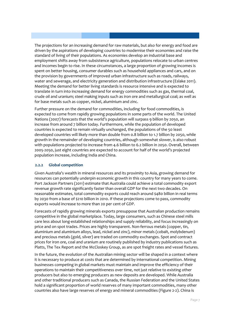The projections for an increasing demand for raw materials, but also for energy and food are driven by the aspirations of developing countries to modernise their economies and raise the standard of living of their populations. As economies develop an industrial base and employment shifts away from subsistence agriculture, populations relocate to urban centres and incomes begin to rise. In these circumstances, a large proportion of growing incomes is spent on better housing, consumer durables such as household appliances and cars, and on the provision by governments of improved urban infrastructure such as roads, railways, water and sewerage, and electricity generation and distribution infrastructure (Eslake 2011). Meeting the demand for better living standards is resource intensive and is expected to translate in turn into increasing demand for energy commodities such as gas, thermal coal, crude oil and uranium; steel making inputs such as iron ore and metallurgical coal; as well as for base metals such as copper, nickel, aluminium and zinc.

Further pressure on the demand for commodities, including for food commodities, is expected to come from rapidly growing populations in some parts of the world. The United Nations (2007) forecasts that the world's population will surpass 9 billion by 2050, an increase from around 7 billion today. Furthermore, while the population of developed countries is expected to remain virtually unchanged, the populations of the 50 least developed countries will likely more than double from 0.8 billion to 1.7 billion by 2050, while growth in the remainder of developing countries, although somewhat slower, is also robust with populations projected to increase from 4.6 billion to 6.2 billion in 2050. Overall, between 2005-2050, just eight countries are expected to account for half of the world's projected population increase, including India and China.

#### **2.2.2 Global competition**

Given Australia's wealth in mineral resources and its proximity to Asia, growing demand for resources can potentially underpin economic growth in this country for many years to come. Port Jackson Partners (2011) estimate that Australia could achieve a total commodity export revenue growth rate significantly faster than overall GDP for the next two decades. On reasonable estimates, total commodity exports could reach around \$480 billion in real terms by 2030 from a base of \$210 billion in 2010. If these projections come to pass, commodity exports would increase to more than 20 per cent of GDP.

Forecasts of rapidly growing minerals exports presuppose that Australian production remains competitive in the global marketplace. Today, large consumers, such as Chinese steel mills care less about long-established relationships and supply reliability, and focus increasingly on price and on spot trades. Prices are highly transparent. Non-ferrous metals (copper, tin, aluminium and aluminium alloys, lead, nickel and zinc), minor metals (cobalt, molybdenum) and precious metals (gold, silver) are traded on commodity exchanges. Spot and contract prices for iron ore, coal and uranium are routinely published by industry publications such as Platts, The Tex Report and the McCloskey Group, as are spot freight rates and vessel fixtures.

In the future, the evolution of the Australian mining sector will be shaped in a context where it is necessary to produce at costs that are determined by international competition. Mining businesses competing in global markets must maintain and improve the efficiency of their operations to maintain their competitiveness over time, not just relative to existing other producers but also to emerging producers as new deposits are developed. While Australia and other traditional producers such as Canada, the Russian Federation and the United States hold a significant proportion of world reserves of many important commodities, many other countries also have large reserves of energy and mineral commodities [\(Figure 2-2\)](#page-13-0). China is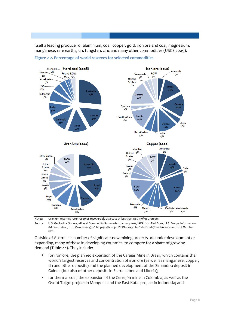itself a leading producer of aluminium, coal, copper, gold, iron ore and coal, magnesium, manganese, rare earths, tin, tungsten, zinc and many other commodities (USGS 2009).



<span id="page-13-0"></span>

Notes: Uranium reserves refer reserves recoverable at a cost of less than US\$ 130/kg Uranium.

Source: U.S. Geological Survey, Mineral Commodity Summaries, January 2011; IAEA, 2011 Red Book; U.S. Energy Information Administration, http://www.eia.gov/cfapps/ipdbproject/IEDIndex3.cfm?tid=1&pid=7&aid=6 accessed on 7 October 2011.

Outside of Australia a number of significant new mining projects are under development or expanding, many of these in developing countries, to compete for a share of growing demand [\(Table 2-1\)](#page-14-0). They include:

- for iron ore, the planned expansion of the Carajás Mine in Brazil, which contains the world's largest reserves and concentration of iron ore (as well as manganese, copper, tin and other deposits) and the planned development of the Simandou deposit in Guinea (but also of other deposits in Sierra Leone and Liberia);
- for thermal coal, the expansion of the Cerrejón mine in Colombia, as well as the Ovoot Tolgoi project in Mongolia and the East Kutai project in Indonesia; and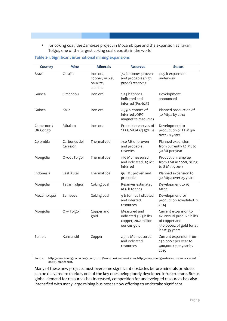for coking coal, the Zambeze project in Mozambique and the expansion at Tavan Tolgoi, one of the largest coking coal deposits in the world.

| Country                | <b>Mine</b>              | <b>Minerals</b>                                     | <b>Reserves</b>                                                             | <b>Status</b>                                                                                                     |
|------------------------|--------------------------|-----------------------------------------------------|-----------------------------------------------------------------------------|-------------------------------------------------------------------------------------------------------------------|
| <b>Brazil</b>          | Carajás                  | Iron ore,<br>copper, nickel,<br>bauxite,<br>alumina | 7.2 b tonnes proven<br>and probable (high<br>grade) reserves                | \$2.5 b expansion<br>underway                                                                                     |
| Guinea                 | Simandou                 | Iron ore                                            | 2.25 b tonnes<br>indicated and<br>inferred (Fe>62%)                         | Development<br>announced                                                                                          |
| Guinea                 | Kalia                    | Iron ore                                            | 2.39 b tonnes of<br>inferred JORC<br>magnetite resources                    | Planned production of<br>50 Mtpa by 2014                                                                          |
| Cameroon /<br>DR Congo | Mbalam                   | Iron ore                                            | Probable reserves of<br>251.5 Mt at 63.57% Fe                               | Development to<br>production of 35 Mtpa<br>over 20 years                                                          |
| Colombia               | Carbones del<br>Cerrejón | Thermal coal                                        | 740 Mt of proven<br>and probable<br>reserves                                | Planned expansion<br>from currently 32 Mt to<br>50 Mt per year                                                    |
| Mongolia               | Ovoot Tolgoi             | Thermal coal                                        | 150 Mt measured<br>and indicated, 29 Mt<br>inferred                         | Production ramp up<br>from 1 Mt in 2008, rising<br>to 8 Mt by 2012                                                |
| Indonesia              | East Kutai               | Thermal coal                                        | 961 Mt proven and<br>probable                                               | Planned expansion to<br>30 Mtpa over 25 years                                                                     |
| Mongolia               | Tavan Tolgoi             | Coking coal                                         | Reserves estimated<br>at 6 b tonnes                                         | Development to 15<br>Mtpa                                                                                         |
| Mozambique             | Zambeze                  | Coking coal                                         | 9 b tonnes indicated<br>and inferred<br>resources                           | Development for<br>production scheduled in<br>2014                                                                |
| Mongolia               | Oyy Tolgoi               | Copper and<br>gold                                  | Measured and<br>indicated 36.3 b lbs<br>copper, 20.2 million<br>ounces gold | Current expansion to<br>av. annual prod. > 1 b lbs<br>of copper and<br>330,0000z of gold for at<br>least 35 years |
| Zambia                 | Kansanshi                | Copper                                              | 235.7 Mt measured<br>and indicated<br>resources                             | Current expansion from<br>250,000 t per year to<br>400,000 t per year by<br>2015                                  |

<span id="page-14-0"></span>**Table 2-1. Significant international mining expansions**

Source: http://www.mining-technology.com; http://www.businessweek.com; http://www.miningaustralia.com.au; accessed on 21 October 2011.

Many of these new projects must overcome significant obstacles before minerals products can be delivered to market, one of the key ones being poorly developed infrastructure. But as global demand for resources has increased, competition for undeveloped resources has also intensified with many large mining businesses now offering to undertake significant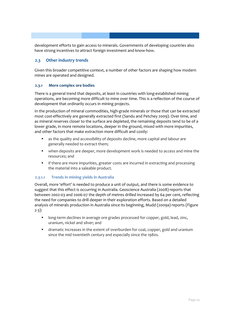development efforts to gain access to minerals. Governments of developing countries also have strong incentives to attract foreign investment and know-how.

#### <span id="page-15-0"></span>**2.3 Other industry trends**

Given this broader competitive context, a number of other factors are shaping how modern mines are operated and designed.

#### **2.3.1 More complex ore bodies**

There is a general trend that deposits, at least in countries with long-established mining operations, are becoming more difficult to mine over time. This is a reflection of the course of development that ordinarily occurs in mining projects.

In the production of mineral commodities, high-grade minerals or those that can be extracted most cost-effectively are generally extracted first (Sandu and Petchey 2009). Over time, and as mineral reserves closer to the surface are depleted, the remaining deposits tend to be of a lower grade, in more remote locations, deeper in the ground, mixed with more impurities, and other factors that make extraction more difficult and costly:

- as the quality and accessibility of deposits decline, more capital and labour are generally needed to extract them;
- when deposits are deeper, more development work is needed to access and mine the resources; and
- **If there are more impurities, greater costs are incurred in extracting and processing** the material into a saleable product.

#### **2.3.1.1 Trends in mining yields in Australia**

Overall, more 'effort' is needed to produce a unit of output, and there is some evidence to suggest that this effect is occurring in Australia. Geoscience Australia (2008) reports that between 2002-03 and 2006-07 the depth of metres drilled increased by 64 per cent, reflecting the need for companies to drill deeper in their exploration efforts. Based on a detailed analysis of minerals production in Australia since its beginning, Mudd (2009a) reports [\(Figure](#page-16-0)  [2-3\)](#page-16-0):

- **IDOM** 10 and the long-term declines in average ore grades processed for copper, gold, lead, zinc, uranium, nickel and silver; and
- dramatic increases in the extent of overburden for coal, copper, gold and uranium since the mid twentieth century and especially since the 1980s.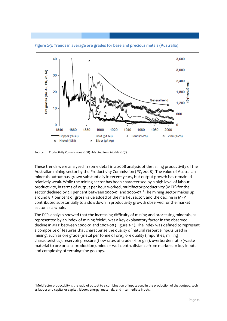

<span id="page-16-0"></span>**Figure 2-3: Trends in average ore grades for base and precious metals (Australia)**

Source: Productivity Commission (2008). Adapted from Mudd (2007).

 $\overline{a}$ 

These trends were analysed in some detail in a 2008 analysis of the falling productivity of the Australian mining sector by the Productivity Commission (PC, 2008). The value of Australian minerals output has grown substantially in recent years, but output growth has remained relatively weak. While the mining sector has been characterised by a high level of labour productivity, in terms of output per hour worked, multifactor productivity (MFP) for the sector declined by 24 per cent between 2000-01 and 2006-07.<sup>[3](#page-16-1)</sup> The mining sector makes up around 8.5 per cent of gross value added of the market sector, and the decline in MFP contributed substantially to a slowdown in productivity growth observed for the market sector as a whole.

The PC's analysis showed that the increasing difficulty of mining and processing minerals, as represented by an index of mining 'yield', was a key explanatory factor in the observed decline in MFP between 2000-01 and 2007-08 [\(Figure 2-4\)](#page-17-0). The index was defined to represent a composite of features that characterise the quality of natural resource inputs used in mining, such as ore grade (metal per tonne of ore), ore quality (impurities, milling characteristics), reservoir pressure (flow rates of crude oil or gas), overburden ratio (waste material to ore or coal production), mine or well depth, distance from markets or key inputs and complexity of terrain/mine geology.

<span id="page-16-1"></span><sup>&</sup>lt;sup>3</sup> Multifactor productivity is the ratio of output to a combination of inputs used in the production of that output, such as labour and capital or capital, labour, energy, materials, and intermediate inputs.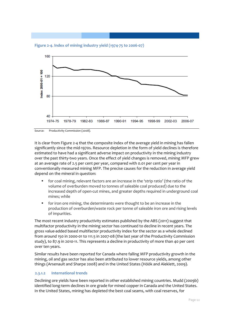<span id="page-17-0"></span>**Figure 2-4. Index of mining industry yield (1974-75 to 2006-07)**



Source: Productivity Commission (2008).

It is clear fro[m Figure 2-4](#page-17-0) that the composite index of the average yield in mining has fallen significantly since the mid-1970s. Resource depletion in the form of yield declines is therefore estimated to have had a significant adverse impact on productivity in the mining industry over the past thirty-two years. Once the effect of yield changes is removed, mining MFP grew at an average rate of 2.5 per cent per year, compared with 0.01 per cent per year in conventionally measured mining MFP. The precise causes for the reduction in average yield depend on the mineral in question:

- for coal mining, relevant factors are an increase in the 'strip ratio' (the ratio of the volume of overburden moved to tonnes of saleable coal produced) due to the increased depth of open-cut mines, and greater depths required in underground coal mines; while
- for iron ore mining, the determinants were thought to be an increase in the production of overburden/waste rock per tonne of saleable iron ore and rising levels of impurities.

The most recent industry productivity estimates published by the ABS (2011) suggest that multifactor productivity in the mining sector has continued to decline in recent years. The gross value-added based multifactor productivity index for the sector as a whole declined from around 150 in 2000-01 to 111.5 in 2007-08 (the last year of the Productivity Commission study), to 87.9 in 2010-11. This represents a decline in productivity of more than 40 per cent over ten years.

Similar results have been reported for Canada where falling MFP productivity growth in the mining, oil and gas sector has also been attributed to lower resource yields, among other things (Arsenault and Sharpe 2008) and in the United States (Höök and Aleklett, 2009).

#### **2.3.1.2 International trends**

Declining ore yields have been reported in other established mining countries. Mudd (2009b) identified long-term declines in ore grade for mined copper in Canada and the United States. In the United States, mining has depleted the best coal seams, with coal reserves, for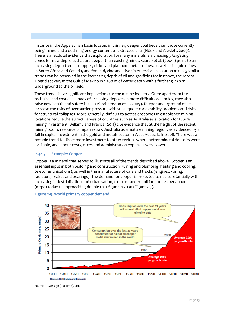instance in the Appalachian basin located in thinner, deeper coal beds than those currently being mined and a declining energy content of extracted coal (Höök and Aleklett, 2009). There is anecdotal evidence that exploration for many minerals is increasingly targeting zones for new deposits that are deeper than existing mines. Giurco et al. (2009 ) point to an increasing depth trend in copper, nickel and platinum metals mines, as well as in gold mines in South Africa and Canada, and for lead, zinc and silver in Australia. In solution mining, similar trends can be observed in the increasing depth of oil and gas fields for instance, the recent Tiber discovery in the Gulf of Mexico in 1,260 m of water depth with a further 9,430 m underground to the oil field.

These trends have significant implications for the mining industry. Quite apart from the technical and cost challenges of accessing deposits in more difficult ore bodies, they also raise new health and safety issues (Abrahamsson et al. 2009). Deeper underground mines increase the risks of overburden pressure with subsequent rock stability problems and risks for structural collapses. More generally, difficult to access orebodies in established mining locations reduce the attractiveness of countries such as Australia as a location for future mining investment. Bellamy and Pravica (2011) cite evidence that at the height of the recent mining boom, resource companies saw Australia as a mature mining region, as evidenced by a fall in capital investment in the gold and metals sector in West Australia in 2008. There was a notable trend to direct more investment to other regions where better mineral deposits were available, and labour costs, taxes and administration expenses were lower.

#### **2.3.1.3 Example: Copper**

Copper is a mineral that serves to illustrate all of the trends described above. Copper is an essential input in both building and construction (wiring and plumbing, heating and cooling, telecommunications), as well in the manufacture of cars and trucks (engines, wiring, radiators, brakes and bearings). The demand for copper is projected to rise substantially with increasing industrialisation and urbanisation, from around 20 million tonnes per annum (mtpa) today to approaching double that figure in 2030 [\(Figure 2-5\)](#page-18-0).



#### <span id="page-18-0"></span>**Figure 2-5. World primary copper demand**

Source: McGagh (Rio Tinto), 2010.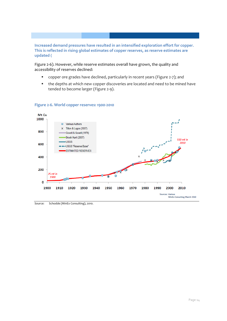**Increased demand pressures have resulted in an intensified exploration effort for copper. This is reflected in rising global estimates of copper reserves, as reserve estimates are updated [\(](#page-19-0)**

[Figure 2-6\)](#page-19-0). However, while reserve estimates overall have grown, the quality and accessibility of reserves declined:

- **•** copper ore grades have declined, particularly in recent years (Figure 2-7); and
- the depths at which new copper discoveries are located and need to be mined have tended to become larger [\(Figure 2-9\)](#page-20-0).



#### <span id="page-19-0"></span>**Figure 2-6. World copper reserves: 1900-2010**

Source: Schodde (MinEx Consulting), 2010.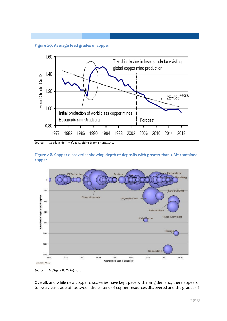**Figure 2-7. Average feed grades of copper**



Source: Goodes (Rio Tinto), 2010, citing Brooke Hunt, 2010.

<span id="page-20-0"></span>



Source: McGagh (Rio Tinto), 2010.

Overall, and while new copper discoveries have kept pace with rising demand, there appears to be a clear trade-off between the volume of copper resources discovered and the grades of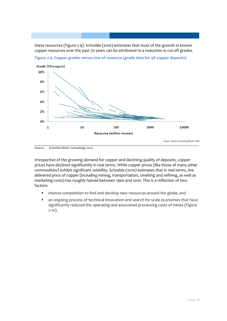these resources (Figure 2-9). Schodde (2010) estimates that most of the growth in known copper resources over the past 70 years can be attributed to a reduction in cut-off grades.



**Figure 2-9. Copper grades versus size of resource (grade data for 48 copper deposits)**

Source: Schodde (MinEx Consulting), 2010.

Irrespective of the growing demand for copper and declining quality of deposits, copper prices have declined significantly in real terms. While copper prices (like those of many other commodities) exhibit significant volatility, Schodde (2010) estimates that in real terms, the delivered price of copper (including mining, transportation, smelting and refining, as well as marketing costs) has roughly halved between 1900 and 2010. This is a reflection of two factors:

- **•** intense competition to find and develop new resources around the globe; and
- an ongoing process of technical innovation and search for scale economies that have significantly reduced the operating and associated processing costs of mines [\(Figure](#page-22-0)  [2-10\)](#page-22-0).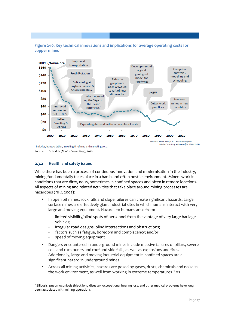<span id="page-22-0"></span>**Figure 2-10. Key technical innovations and implications for average operating costs for copper mines**



Source: Schodde (MinEx Consulting), 2010.

#### **2.3.2 Health and safety issues**

While there has been a process of continuous innovation and modernisation in the industry, mining fundamentally takes place in a harsh and often hostile environment. Miners work in conditions that are dirty, noisy, sometimes in confined spaces and often in remote locations. All aspects of mining and related activities that take place around mining processes are hazardous (NRC 2002):

- **IF In open pit mines, rock falls and slope failures can create significant hazards. Large** surface mines are effectively giant industrial sites in which humans interact with very large and moving equipment. Hazards to humans arise from:
	- limited visibility/blind spots of personnel from the vantage of very large haulage vehicles;
	- irregular road designs, blind intersections and obstructions;
	- factors such as fatigue, boredom and complacency; and/or
	- speed of moving equipment.

 $\overline{a}$ 

- Dangers encountered in underground mines include massive failures of pillars, severe coal and rock bursts and roof and side falls, as well as explosions and fires. Additionally, large and moving industrial equipment in confined spaces are a significant hazard in underground mines.
- Across all mining activities, hazards are posed by gases, dusts, chemicals and noise in the work environment, as well from working in extreme temperatures.<sup>[4](#page-22-1)</sup> As

<span id="page-22-1"></span><sup>4</sup> Silicosis, pneumoconiosis (black lung disease), occupational hearing loss, and other medical problems have long been associated with mining operations.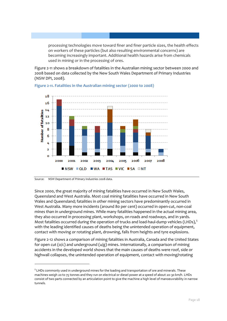processing technologies move toward finer and finer particle sizes, the health effects on workers of these particles (but also resulting environmental concerns) are becoming increasingly important. Additional health hazards arise from chemicals used in mining or in the processing of ores.

[Figure 2-11](#page-23-0) shows a breakdown of fatalities in the Australian mining sector between 2000 and 2008 based on data collected by the New South Wales Department of Primary Industries (NSW DPI, 2008).



#### <span id="page-23-0"></span>**Figure 2-11. Fatalities in the Australian mining sector (2000 to 2008)**

1

Since 2000, the great majority of mining fatalities have occurred in New South Wales, Queensland and West Australia. Most coal mining fatalities have occurred in New South Wales and Queensland; fatalities in other mining sectors have predominantly occurred in West Australia. Many more incidents (around 80 per cent) occurred in open-cut, non-coal mines than in underground mines. While many fatalities happened in the actual mining area, they also occurred in processing plant, workshops, on roads and roadways, and in yards. Most fatalities occurred during the operation of trucks and load-haul-dump vehicles (LHDs), $5$ with the leading identified causes of deaths being the unintended operation of equipment, contact with moving or rotating plant, drowning, falls from heights and tyre explosions.

Figure 2-12 shows a comparison of mining fatalities in Australia, Canada and the United States for open cut ( $o/c$ ) and underground ( $u/g$ ) mines. Internationally, a comparison of mining accidents in the developed world shows that the main causes of deaths were roof, side or highwall collapses, the unintended operation of equipment, contact with moving/rotating

Source: NSW Department of Primary Industries 2008 data.

<span id="page-23-1"></span><sup>&</sup>lt;sup>5</sup> LHDs commonly used in underground mines for the loading and transportation of ore and minerals. These machines weigh 20 to 75 tonnes and they run on electrical or diesel power at a speed of about 20-30 km/h. LHDs consist of two parts connected by an articulation point to give the machine a high level of manoeuvrability in narrow tunnels.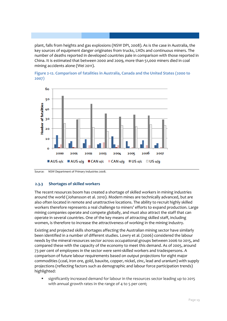plant, falls from heights and gas explosions (NSW DPI, 2008). As is the case in Australia, the key sources of equipment danger originates from trucks, LHDs and continuous miners. The number of deaths reported in developed countries pale in comparison with those reported in China. It is estimated that between 2000 and 2009, more than 51,000 miners died in coal mining accidents alone (Wei 2011).





#### **2.3.3 Shortages of skilled workers**

The recent resources boom has created a shortage of skilled workers in mining industries around the world (Johansson et al. 2010). Modern mines are technically advanced, but are also often located in remote and unattractive locations. The ability to recruit highly skilled workers therefore represents a real challenge to miners' efforts to expand production. Large mining companies operate and compete globally, and must also attract the staff that can operate in several countries. One of the key means of attracting skilled staff, including women, is therefore to increase the attractiveness of working in the mining industry.

Existing and projected skills shortages affecting the Australian mining sector have similarly been identified in a number of different studies. Lowry et al. (2006) considered the labour needs by the mineral resources sector across occupational groups between 2006 to 2015, and compared these with the capacity of the economy to meet this demand. As of 2005, around 73 per cent of employees in the sector were semi-skilled workers and tradespersons. A comparison of future labour requirements based on output projections for eight major commodities (coal, iron ore, gold, bauxite, copper, nickel, zinc, lead and uranium) with supply projections (reflecting factors such as demographic and labour force participation trends) highlighted:

 significantly increased demand for labour in the resources sector leading up to 2015 with annual growth rates in the range of 4 to 5 per cent;

Source: NSW Department of Primary Industries 2008.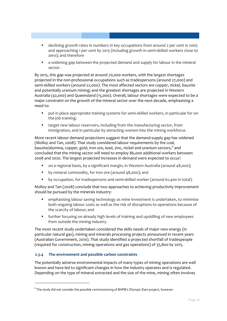- declining growth rates in numbers in key occupations from around 2 per cent in 2005 and approaching 1 per cent by 2015 (including growth in semi-skilled workers close to zero); and therefore
- a widening gap between the projected demand and supply for labour in the mineral sector.

By 2015, this gap was projected at around 70,000 workers, with the largest shortages projected in the non-professional occupations such as tradespersons (around 27,000) and semi-skilled workers (around 22,000). The most affected sectors are copper, nickel, bauxite and potentially uranium mining; and the greatest shortages are projected in Western Australia (42,000) and Queensland (15,000). Overall, labour shortages were expected to be a major constraint on the growth of the mineral sector over the next decade, emphasising a need to:

- put in place appropriate training systems for semi-skilled workers, in particular for onthe-job training;
- target new labour reservoirs, including from the manufacturing sector, from immigration, and in particular by attracting women into the mining workforce.

More recent labour demand projections suggest that the demand-supply gap has widened (Molloy and Tan, 2008). That study considered labour requirements by the coal, bauxite/alumina, copper, gold, iron ore, lead, zinc, nickel and uranium sectors,<sup>[6](#page-25-0)</sup> and concluded that the mining sector will need to employ 86,000 additional workers between 2008 and 2020. The largest projected increases in demand were expected to occur:

- on a regional basis, by a significant margin, in Western Australia (around 48,000);
- by mineral commodity, for iron ore (around 48,000); and
- by occupation, for tradespersons and semi-skilled worker (around 61,400 in total).

Molloy and Tan (2008) conclude that two approaches to achieving productivity improvement should be pursued by the minerals industry:

- emphasising labour saving technology as mine investment is undertaken, to minimise both ongoing labour costs as well as the risk of disruptions to operations because of the scarcity of labour; and
- further focusing on already high levels of training and upskilling of new employees from outside the mining industry.

The most recent study undertaken considered the skills needs of major new energy (in particular natural gas), mining and minerals processing projects announced in recent years (Australian Government, 2010). That study identified a projected shortfall of tradespeople (required for construction, mining operations and gas operations) of 35,800 by 2015.

#### **2.3.4 The environment and possible carbon constraints**

<u>.</u>

The potentially adverse environmental impacts of many types of mining operations are well known and have led to significant changes in how the industry operates and is regulated. Depending on the type of mineral extracted and the size of the mine, mining often involves

<span id="page-25-0"></span> $6$  The study did not consider the possible commissioning of BHPB's Olympic Dam project, however.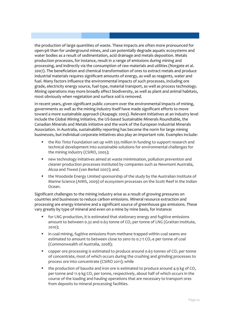the production of large quantities of waste. These impacts are often more pronounced for open-pit than for underground mines, and can potentially degrade aquatic ecosystems and water bodies as a result of sedimentation, acid drainage and metals deposition. Metals production processes, for instance, result in a range of emissions during mining and processing, and indirectly via the consumption of raw materials and utilities (Norgate et al. 2007). The beneficiation and chemical transformation of ores to extract metals and produce industrial materials requires significant amounts of energy, as well as reagents, water and fuel. Many factors influence the environmental impacts of such processes, including ore grade, electricity energy source, fuel type, material transport, as well as process technology. Mining operations may more broadly affect biodiversity, as well as plant and animal habitats, most obviously when vegetation and surface soil is removed.

In recent years, given significant public concern over the environmental impacts of mining, governments as well as the mining industry itself have made significant efforts to move toward a more sustainable approach (Azapagic 2003). Relevant initiatives at an industry level include the Global Mining Initiative, the US-based Sustainable Minerals Roundtable, the Canadian Minerals and Metals initiative and the work of the European Industrial Minerals Association. In Australia, sustainability reporting has become the norm for large mining businesses, but individual corporate initiatives also play an important role. Examples include:

- the Rio Tinto Foundation set up with \$35 million in funding to support research and technical development into sustainable solutions for environmental challenges for the mining industry (CSIRO, 2005);
- new technology initiatives aimed at waste minimisation, pollution prevention and cleaner production processes instituted by companies such as Newmont Australia, Alcoa and Tiwest (van Berkel 2007); and.
- the Woodside Energy Limited sponsorship of the study by the Australian Institute of Marine Science (AIMS, 2009) of ecosystem processes on the Scott Reef in the Indian Ocean.

Significant challenges to the mining industry arise as a result of growing pressures on countries and businesses to reduce carbon emissions. Mineral resource extraction and processing are energy intensive and a significant source of greenhouse gas emissions. These vary greatly by type of mineral and even on a mine by mine basis, for instance:

- for LNG production, it is estimated that stationary energy and fugitive emissions amount to between 0.32 and 0.63 tonne of  $CO<sub>2</sub>$  per tonne of LNG (Grattan Institute, 2010);
- **•** in coal mining, fugitive emissions from methane trapped within coal seams are estimated to amount to between close to zero to  $0.7$  t  $CO<sub>2</sub>$ -e per tonne of coal (Commonwealth of Australia, 2008);
- copper ore processing is estimated to produce around 0.63 tonnes of CO<sub>2</sub> per tonne of concentrate, most of which occurs during the crushing and grinding processes to process ore into concentrate (CSIRO 2011); while
- the production of bauxite and iron ore is estimated to produce around 4.9 kg of  $CO<sub>2</sub>$ per tonne and 11.9 kg CO<sub>2</sub> per tonne, respectively, about half of which occurs in the course of the loading and hauling operations that are necessary to transport ores from deposits to mineral processing facilities.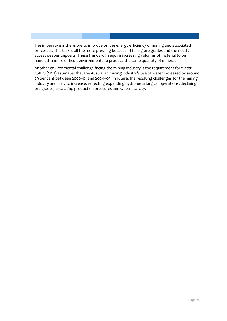The imperative is therefore to improve on the energy efficiency of mining and associated processes. This task is all the more pressing because of falling ore grades and the need to access deeper deposits. These trends will require increasing volumes of material to be handled in more difficult environments to produce the same quantity of mineral.

Another environmental challenge facing the mining industry is the requirement for water. CSIRO (2011) estimates that the Australian mining industry's use of water increased by around 29 per cent between 2000–01 and 2004–05. In future, the resulting challenges for the mining industry are likely to increase, reflecting expanding hydrometallurgical operations, declining ore grades, escalating production pressures and water scarcity.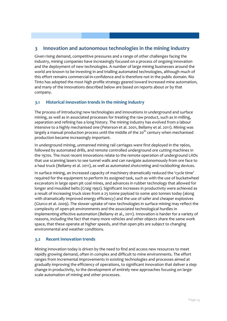#### <span id="page-28-0"></span>**3 Innovation and autonomous technologies in the mining industry**

Given rising demand, competitive pressures and a range of other challenges facing the industry, mining companies have increasingly focused on a process of ongoing innovation and the deployment of new technologies. A number of large mining businesses around the world are known to be investing in and trialling automated technologies, although much of this effort remains commercial-in-confidence and is therefore not in the public domain. Rio Tinto has adopted the most high profile strategy geared toward increased mine automation, and many of the innovations described below are based on reports about or by that company.

#### **3.1 Historical innovation trends in the mining industry**

The process of introducing new technologies and innovations in underground and surface mining, as well as in associated processes for treating the raw product, such as in milling, separation and refining has a long history. The mining industry has evolved from a labour intensive to a highly mechanised one (Peterson et al. 2001, Bellamy et al. 2011). Mining was largely a manual production process until the middle of the 20<sup>th</sup> century when mechanised production became increasingly important.

In underground mining, unmanned mining rail carriages were first deployed in the 1960s, followed by automated drills, and remote controlled underground ore cutting machines in the 1970s. The most recent innovations relate to the remote operation of underground LHDs that use scanning lasers to see tunnel walls and can navigate autonomously from ore face to a haul truck (Bellamy et al. 2011), as well as automated shotcreting and rockbolting devices.

In surface mining, an increased capacity of machinery dramatically reduced the 'cycle time' required for the equipment to perform its assigned task, such as with the use of bucketwheel excavators in large open pit coal mines, and advances in rubber technology that allowed for longer and moulded belts (Craig 1992). Significant increases in productivity were achieved as a result of increasing truck sizes from a 25 tonne payload to some 400 tonnes today (along with dramatically improved energy efficiency) and the use of safer and cheaper explosives (Giurco et al. 2009). The slower uptake of new technologies in surface mining may reflect the complexity of open-pit environments and the associated technological hurdles in implementing effective automation (Bellamy et al., 2011). Innovation is harder for a variety of reasons, including the fact that many more vehicles and other objects share the same work space, that these operate at higher speeds, and that open pits are subject to changing environmental and weather conditions.

#### <span id="page-28-1"></span>**3.2 Recent innovation trends**

Mining innovation today is driven by the need to find and access new resources to meet rapidly growing demand, often in complex and difficult to mine environments. The effort ranges from incremental improvements in existing technologies and processes aimed at gradually improving the efficiency of operations, to significant innovation that deliver a step change in productivity, to the development of entirely new approaches focusing on largescale automation of mining and other processes.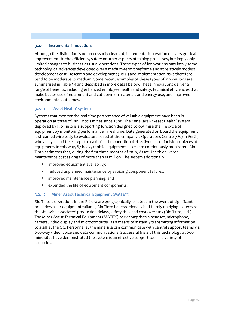#### **3.2.1 Incremental innovations**

Although the distinction is not necessarily clear-cut, incremental innovation delivers gradual improvements in the efficiency, safety or other aspects of mining processes, but imply only limited changes to business-as-usual operations. These types of innovations may imply some technological advances developed over a medium-term timeframe and at relatively modest development cost. Research and development (R&D) and implementation risks therefore tend to be moderate to medium. Some recent examples of these types of innovations are summarised in [Table 3-1](#page-30-0) and described in more detail below. These innovations deliver a range of benefits, including enhanced employee health and safety, technical efficiencies that make better use of equipment and cut down on materials and energy use, and improved environmental outcomes.

#### **3.2.1.1 'Asset Health' system**

Systems that monitor the real-time performance of valuable equipment have been in operation at three of Rio Tinto's mines since 2008. The MineCare® 'Asset Health' system deployed by Rio Tinto is a supporting function designed to optimise the life cycle of equipment by monitoring performance in real time. Data generated on board the equipment is streamed wirelessly to evaluators based at the company's Operations Centre (OC) in Perth, who analyse and take steps to maximise the operational effectiveness of individual pieces of equipment. In this way, 87 heavy mobile equipment assets are continuously monitored. Rio Tinto estimates that, during the first three months of 2010, Asset Health delivered maintenance cost savings of more than \$1 million. The system additionally:

- improved equipment availability;
- **F** reduced unplanned maintenance by avoiding component failures;
- **If** improved maintenance planning; and
- extended the life of equipment components.

#### **3.2.1.2 Miner Assist Technical Equipment (MATE™)**

Rio Tinto's operations in the Pilbara are geographically isolated. In the event of significant breakdowns or equipment failures, Rio Tinto has traditionally had to rely on flying experts to the site with associated production delays, safety risks and cost overruns (Rio Tinto, n.d.). The Miner Assist Technical Equipment (MATE™) pack comprises a headset, microphone, camera, video display and microcomputer, as a means of instantly transmitting information to staff at the OC. Personnel at the mine site can communicate with central support teams via two-way video, voice and data communications. Successful trials of this technology at two mine sites have demonstrated the system is an effective support tool in a variety of scenarios.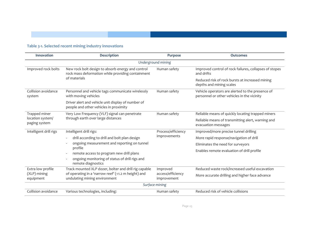#### **Table 3-1. Selected recent mining industry innovations**

<span id="page-30-0"></span>

| Innovation                        | <b>Description</b>                                                                                                                            | <b>Purpose</b>                   | <b>Outcomes</b>                                                                                 |  |
|-----------------------------------|-----------------------------------------------------------------------------------------------------------------------------------------------|----------------------------------|-------------------------------------------------------------------------------------------------|--|
|                                   |                                                                                                                                               | Underground mining               |                                                                                                 |  |
| Improved rock bolts               | New rock bolt design to absorb energy and control<br>rock mass deformation while providing containment                                        | Human safety                     | Improved control of rock failures, collapses of stopes<br>and drifts                            |  |
|                                   | of materials                                                                                                                                  |                                  | Reduced risk of rock bursts at increased mining<br>depths and mining scales                     |  |
| Collision avoidance<br>system     | Personnel and vehicle tags communicate wirelessly<br>with moving vehicles                                                                     | Human safety                     | Vehicle operators are alerted to the presence of<br>personnel or other vehicles in the vicinity |  |
|                                   | Driver alert and vehicle unit display of number of<br>people and other vehicles in proximity                                                  |                                  |                                                                                                 |  |
| Trapped miner                     | Very Low Frequency (VLF) signal can penetrate<br>through earth over large distances                                                           | Human safety                     | Reliable means of quickly locating trapped miners                                               |  |
| location system/<br>paging system |                                                                                                                                               |                                  | Reliable means of transmitting alert, warning and<br>evacuation messages                        |  |
| Intelligent drill rigs            | Intelligent drill rigs:                                                                                                                       | Process/efficiency               | Improved/more precise tunnel drilling                                                           |  |
|                                   | drill according to drill and bolt plan design                                                                                                 | improvements                     | More rapid response/navigation of drill                                                         |  |
|                                   | ongoing measurement and reporting on tunnel                                                                                                   |                                  | Eliminates the need for surveyors                                                               |  |
|                                   | profile<br>remote access to program new drill plans                                                                                           |                                  | Enables remote evaluation of drill profile                                                      |  |
|                                   | ongoing monitoring of status of drill rigs and<br>remote diagnostics                                                                          |                                  |                                                                                                 |  |
| Extra low profile                 | Track mounted XLP dozer, bolter and drill rig capable<br>of operating in a 'narrow reef' (<1.2 m height) and<br>undulating mining environment | Improved                         | Reduced waste rock/increased useful excavation                                                  |  |
| (XLP) mining<br>equipment         |                                                                                                                                               | access/efficiency<br>improvement | More accurate drilling and higher face advance                                                  |  |
|                                   |                                                                                                                                               | Surface mining                   |                                                                                                 |  |
| Collision avoidance               | Various technologies, including:                                                                                                              | Human safety                     | Reduced risk of vehicle collisions                                                              |  |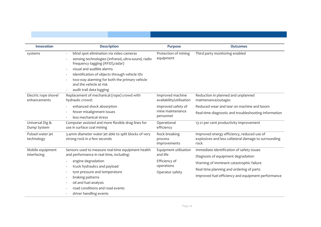| Innovation                           | <b>Description</b>                                                                                                                                                                                                                                                                                                       | <b>Purpose</b>                                                                      | <b>Outcomes</b>                                                                                                                                                                                                               |
|--------------------------------------|--------------------------------------------------------------------------------------------------------------------------------------------------------------------------------------------------------------------------------------------------------------------------------------------------------------------------|-------------------------------------------------------------------------------------|-------------------------------------------------------------------------------------------------------------------------------------------------------------------------------------------------------------------------------|
| systems                              | blind spot elimination via video cameras<br>sensing technologies (infrared, ultra-sound, radio<br>frequency tagging (RFID), radar)<br>visual and audible alarms<br>identification of objects through vehicle IDs<br>two-way alarming for both the primary vehicle<br>and the vehicle at risk<br>audit trail data logging | Protection of mining<br>equipment                                                   | Third party monitoring enabled                                                                                                                                                                                                |
| Electric rope shovel<br>enhancements | Replacement of mechanical (rope) crowd with<br>hydraulic crowd:                                                                                                                                                                                                                                                          | Improved machine<br>availability/utilisation                                        | Reduction in planned and unplanned<br>maintenance/outages                                                                                                                                                                     |
|                                      | enhanced shock absorption<br>fewer misalignment issues<br>less mechanical stress                                                                                                                                                                                                                                         | Improved safety of<br>mine maintenance<br>personnel                                 | Reduced wear and tear on machine and boom<br>Real-time diagnostic and troubleshooting information                                                                                                                             |
| Universal Dig &<br>Dump System       | Computer assisted and more flexible drag lines for<br>use in surface coal mining                                                                                                                                                                                                                                         | Operational<br>efficiency                                                           | 13-21 per cent productivity improvement                                                                                                                                                                                       |
| Pulsed water jet<br>technology       | 3.4mm diameter water jet able to split blocks of very<br>strong rock in a few seconds                                                                                                                                                                                                                                    | Rock breaking<br>process<br>improvements                                            | Improved energy efficiency, reduced use of<br>explosives and less collateral damage to surrounding<br>rock                                                                                                                    |
| Mobile equipment<br>interfacing      | Sensors used to measure real-time equipment health<br>and performance in real time, including:<br>engine degradation<br>truck hydraulics and payload<br>tyre pressure and temperature<br>braking patterns<br>oil and fuel analysis<br>road conditions and road events                                                    | Equipment utilisation<br>and life<br>Efficiency of<br>operations<br>Operator safety | Immediate identification of safety issues<br>Diagnosis of equipment degradation<br>Warning of imminent catastrophic failure<br>Real time planning and ordering of parts<br>Improved fuel efficiency and equipment performance |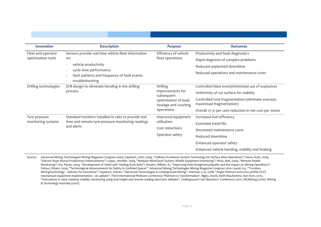| <b>Innovation</b>     | <b>Description</b>                                                                                                                                                              | <b>Purpose</b>                                                                                                   | <b>Outcomes</b>                                                                |
|-----------------------|---------------------------------------------------------------------------------------------------------------------------------------------------------------------------------|------------------------------------------------------------------------------------------------------------------|--------------------------------------------------------------------------------|
| Fleet and operator    | Sensors provide real time vehicle fleet information<br>on:<br>vehicle productivity<br>cycle time performance<br>fault patterns and frequency of fault events<br>troubleshooting | Efficiency of vehicle<br>fleet operations                                                                        | Productivity and fault diagnostics                                             |
| optimisation tools    |                                                                                                                                                                                 |                                                                                                                  | Rapid diagnosis of complex problems                                            |
|                       |                                                                                                                                                                                 |                                                                                                                  | Reduced unplanned downtime                                                     |
|                       |                                                                                                                                                                                 |                                                                                                                  | Reduced operations and maintenance costs                                       |
| Drilling technologies | Drill design to eliminate bending in the drilling<br>process                                                                                                                    | <b>Drilling</b><br>improvements for<br>subsequent<br>optimisation of load,<br>haulage and crushing<br>operations | Controlled blast event/minimised use of explosives                             |
|                       |                                                                                                                                                                                 |                                                                                                                  | Uniformity of cut surface for stability                                        |
|                       |                                                                                                                                                                                 |                                                                                                                  | Controlled rock fragmentation (eliminate oversize,<br>maximised fragmentation) |
|                       |                                                                                                                                                                                 |                                                                                                                  | Overall 17-31 per cent reduction in net cost per tonne                         |
| Tyre pressure         | Standard monitors installed in cabs to provide real<br>time and remote tyre pressure monitoring readings<br>and alerts                                                          | Improved equipment<br>utilisation<br>Cost reductions<br>Operator safety                                          | Increased fuel efficiency                                                      |
| monitoring systems    |                                                                                                                                                                                 |                                                                                                                  | <b>Extended tread life</b>                                                     |
|                       |                                                                                                                                                                                 |                                                                                                                  | Decreased maintenance costs                                                    |
|                       |                                                                                                                                                                                 |                                                                                                                  | Reduced downtime                                                               |
|                       |                                                                                                                                                                                 |                                                                                                                  | Enhanced operator safety                                                       |
|                       |                                                                                                                                                                                 |                                                                                                                  | Enhanced vehicle handing, stability and braking                                |

Source: Advanced Mining Technologies Mining Magazine Congress 2009: Capehart, John, 2009, "Collision Avoidance System Technology for Surface Mine Operations"; Haws, Ruth, 2009, "Electric Rope Shovel Productivity Enhancements"; Lopez, Jennifer, 2009, "Modular MineCare® System, Mobile Equipment Interfacing"; Hicks, Bob, 2009, "Remote Health Monitoring"; Wu, Rocky, 2009, "Development of Yield-Lok® Yielding Rock Bolts"; Hissem, William, D., "Improving Hole Straightness/Quality and the Impact on Mining Operations"; Farjow, Wisam, 2009, "Technological Advancements for Safety In Confined Spaces". Advanced Mining Technologies Mining Magazine Congress 2010: Lourel, Ivy, "Truckless MiningTechnology – Delivery for Outcomes"; Topalovic, Stevan, "Advanced Technologies in Underground Mining". Harrison, G.A, 2008, "Anglo Platinum extra low profile (XLP) mechanized equipment implementation—an update"; Third International Platinum Conference 'Platinum in Transformation'. Bigby, David, Keith MacAndrew, Ken Hurt, 2010, "Innovations in mine roadway stability monitoring using dual height and remote reading electronic telltales", Underground Coal Operators' Conference 2010. CRCMining (2010). Mining & Technology Australia (2010).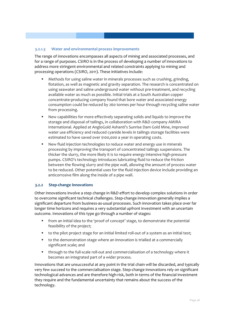#### **3.2.1.3 Water and environmental process improvements**

The range of innovations encompasses all aspects of mining and associated processes, and for a range of purposes. CSIRO is in the process of developing a number of innovations to address more stringent environmental and related constraints applying to mining and processing operations (CSIRO, 2011). These initiatives include:

- Methods for using saline water in minerals processes such as crushing, grinding, flotation, as well as magnetic and gravity separation. The research is concentrated on using seawater and saline underground water without pre-treatment, and recycling available water as much as possible. Initial trials at a South Australian copper concentrate-producing company found that bore water and associated energy consumption could be reduced by 260 tonnes per hour through recycling saline water from processing.
- New capabilities for more effectively separating solids and liquids to improve the storage and disposal of tailings, in collaboration with R&D company AMIRA International. Applied at AngloGold Ashanti's Sunrise Dam Gold Mine, improved water use efficiency and reduced cyanide levels in tailings storage facilities were estimated to have saved over \$100,000 a year in operating costs.
- New fluid injection technologies to reduce water and energy use in minerals processing by improving the transport of concentrated tailings suspensions. The thicker the slurry, the more likely it is to require energy intensive high-pressure pumps. CSIRO's technology introduces lubricating fluid to reduce the friction between the flowing slurry and the pipe wall, allowing the amount of process water to be reduced. Other potential uses for the fluid injection device include providing an anticorrosive film along the inside of a pipe wall.

#### **3.2.2 Step-change innovations**

Other innovations involve a step change in R&D effort to develop complex solutions in order to overcome significant technical challenges. Step-change innovation generally implies a significant departure from business-as-usual processes. Such innovation takes place over far longer time horizons and requires a very substantial upfront investment with an uncertain outcome. Innovations of this type go through a number of stages:

- from an initial idea to the 'proof of concept' stage, to demonstrate the potential feasibility of the project;
- to the pilot project stage for an initial limited roll-out of a system as an initial test;
- to the demonstration stage where an innovation is trialled at a commercially significant scale; and
- **through to the full-scale roll-out and commercialisation of a technology where it** becomes an integrated part of a wider process.

Innovations that are unsuccessful at any point in the trial chain will be discarded, and typically very few succeed to the commercialisation stage. Step-change innovations rely on significant technological advances and are therefore high-risk, both in terms of the financial investment they require and the fundamental uncertainty that remains about the success of the technology.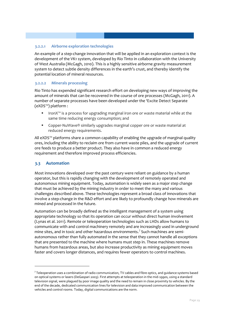#### **3.2.2.1 Airborne exploration technologies**

An example of a step-change innovation that will be applied in an exploration context is the development of the VK1 system, developed by Rio Tinto in collaboration with the University of West Australia (McGagh, 2010). This is a highly sensitive airborne gravity measurement system to detect subtle density differences in the earth's crust, and thereby identify the potential location of mineral resources.

#### **3.2.2.2 Minerals processing**

Rio Tinto has expended significant research effort on developing new ways of improving the amount of minerals that can be recovered in the course of ore processes (McGagh, 2011). A number of separate processes have been developed under the 'Excite Detect Separate (eXDS™) platform :

- IronX<sup>™</sup> is a process for upgrading marginal iron ore or waste material while at the same time reducing energy consumption; and
- Copper-NuWave® similarly upgrades marginal copper ore or waste material at reduced energy requirements.

All eXDS™ platforms share a common capability of enabling the upgrade of marginal quality ores, including the ability to reclaim ore from current waste piles, and the upgrade of current ore feeds to produce a better product. They also have in common a reduced energy requirement and therefore improved process efficiencies.

#### **3.3 Automation**

1

Most innovations developed over the past century were reliant on guidance by a human operator, but this is rapidly changing with the development of remotely operated and autonomous mining equipment. Today, automation is widely seen as a major step change that must be achieved by the mining industry in order to meet the many and various challenges described above. These technologies represent a broad class of innovations that involve a step-change in the R&D effort and are likely to profoundly change how minerals are mined and processed in the future.

Automation can be broadly defined as the intelligent management of a system using appropriate technology so that its operation can occur without direct human involvement (Lynas et al. 2011). Remote or teleoperation technologies such as LHDs allow humans to communicate with and control machinery remotely and are increasingly used in underground mine sites, and in toxic and other hazardous environments.<sup>[7](#page-34-0)</sup> Such machines are semiautonomous rather than fully automated in the sense that they cannot handle all exceptions that are presented to the machine where humans must step in. These machines remove humans from hazardous areas, but also increase productivity as mining equipment moves faster and covers longer distances, and requires fewer operators to control machines.

<span id="page-34-0"></span> $^7$  Teleoperation uses a combination of radio communication, TV cables and fibre optics, and guidance systems based on optical systems or lasers (DeGaspari 2003). First attempts at teleoperation in the mid-1990s, using a standard television signal, were plagued by poor image quality and the need to remain in close proximity to vehicles. By the end of the decade, dedicated communication lines for television and data improved communication between the vehicles and control rooms. Today, digital communications are the norm.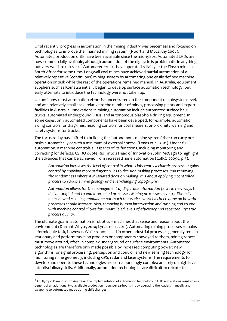Until recently, progress in automation in the mining industry was piecemeal and focused on technologies to improve the 'manned mining system' (Noort and McCarthy 2008). Automated production drills have been available since the mid-1980s. Automated LHDs are now commercially available, although automation of the dig cycle is problematic in anything but very well broken rock.<sup>[8](#page-35-0)</sup> Automated trucks have operated reliably at the Finsch mine in South Africa for some time. Longwall coal mines have achieved partial automation of a relatively repetitive (continuous) mining system by automating one easily defined machine operation or task while the rest of the operations remained manual. In Australia, equipment suppliers such as Komatsu initially began to develop surface automation technology, but early attempts to introduce the technology were not taken up.

Up until now most automation effort is concentrated on the component or subsystem level, and at a relatively small scale relative to the number of mines, processing plants and export facilities in Australia. Innovations in mining automation include automated surface haul trucks, automated underground LHDs, and autonomous blast-hole drilling equipment. In some cases, only automated components have been developed, for example, automatic swing controls for drag-lines, heading controls for coal shearers, or proximity warning and safety systems for trucks.

The focus today has shifted to building the 'autonomous mining system' that can carry out tasks automatically or with a minimum of external control (Lynas et al. 2011). Under full automation, a machine controls all aspects of its functions, including monitoring and correcting for defects. CSIRO quote Rio Tinto's Head of Innovation John McGagh to highlight the advances that can be achieved from increased mine automation (CSIRO 2009c, p.3):

*Automation increases the level of control in what is inherently a chaotic process. It gains control by applying more stringent rules to decision-making processes, and removing the randomness inherent in isolated decision making. It is about applying a controlled process to variable mine geology and ever-changing topography.* 

*Automation allows for the management of disparate information flows in new ways to deliver unified end-to-end interlinked processes. Mining processes have traditionally been viewed as being standalone but much theoretical work has been done on how the processes should interact. Also, removing human intervention and running end-to-end with machine control allows for unparalleled levels of efficiency and repeatability: true process quality.*

The ultimate goal in automation is robotics – machines that sense and reason about their environment (Durrant-Whyte, 2010; Lynas et al. 2011). Automating mining processes remains a formidable task, however. While robots used in other industrial processes generally remain stationary and perform tasks on products or components conveyed to them, mining robots must move around, often in complex underground or surface environments. Automated technologies are therefore only made possible by increased computing power; new algorithms for signal processing, perception and control; and new sensing technology for monitoring mine geometry, including GPS, radar and laser systems. The requirements to develop and operate these technologies are correspondingly complex and rely on high-level interdisciplinary skills. Additionally, automation technologies are difficult to retrofit to

<u>.</u>

<span id="page-35-0"></span><sup>&</sup>lt;sup>8</sup> At Olympic Dam in South Australia, the implementation of automation technology in LHD applications resulted in a benefit of an additional two available production hours per 12-hour shift by operating the loaders manually and swapping to automated mode during shift changes.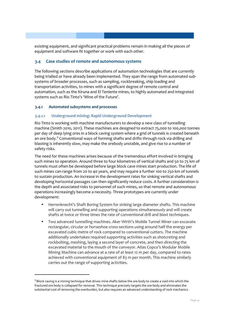existing equipment, and significant practical problems remain in making all the pieces of equipment and software fit together or work with each other.

#### **3.4 Case studies of remote and autonomous systems**

The following sections describe applications of automation technologies that are currently being trialled or have already been implemented. They span the range from automated subsystems of broader processes, such as sampling, rockbreaking, ship loading and transportation activities, to mines with a significant degree of remote control and automation, such as the Kiruna and El Teniente mines, to highly automated and integrated systems such as Rio Tinto's 'Mine of the Future'.

#### **3.4.1 Automated subsystems and processes**

<u>.</u>

#### **3.4.1.1 Underground mining: Rapid Underground Development**

Rio Tinto is working with machine manufacturers to develop a new class of tunnelling machine (Smith 2010, 2011). These machines are designed to extract 75,000 to 100,000 tonnes per day of deep lying ores in a block caving system where a grid of tunnels is created beneath an ore body. $9$  Conventional ways of forming shafts and drifts through rock via drilling and blasting is inherently slow, may make the orebody unstable, and give rise to a number of safety risks.

The need for these machines arises because of the tremendous effort involved in bringing such mines to operation. Around three to four kilometres of vertical shafts and 50 to 75 km of tunnels must often be developed before large block cave mines start production. The life of such mines can range from 20 to 40 years, and may require a further 100 to 250 km of tunnels to sustain production. An increase in the development rates for sinking vertical shafts and developing horizontal passages can then significantly reduce costs. A further consideration is the depth and associated risks to personnel of such mines, so that remote and autonomous operations increasingly become a necessity. Three prototypes are currently under development:

- Herrenknecht's Shaft Boring System for sinking large diameter shafts. This machine will carry out tunnelling and supporting operations simultaneously and will create shafts at twice or three times the rate of conventional drill and blast techniques.
- Two advanced tunnelling machines. Aker Wirth's Mobile Tunnel Miner can excavate rectangular, circular or horseshoe cross-sections using around half the energy per excavated cubic metre of rock compared to conventional cutters. The machine additionally undertakes required supporting activities such as shotcreting and rockbolting, meshing, laying a second layer of concrete, and then directing the excavated material to the mouth of the conveyor. Atlas Copco's Modular Mobile Mining Machine can advance at a rate of at least 12 m per day, compared to rates achieved with conventional equipment of 83 m per month. This machine similarly carries out the range of supporting activities.

<span id="page-36-0"></span><sup>&</sup>lt;sup>9</sup> Block caving is a mining technique that drives mine shafts below the ore body to create a void into which the fractured ore body is collapsed for removal. This technique precisely targets the ore body and eliminates the substantial cost of removing the overburden, but also requires an advanced understanding of rock mechanics.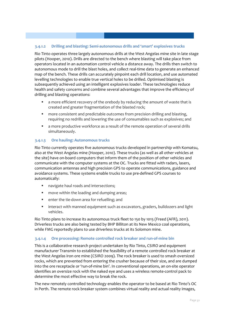#### **3.4.1.2 Drilling and blasting: Semi-autonomous drills and 'smart' explosives trucks**

Rio Tinto operates three largely autonomous drills at the West Angelas mine site in late stage pilots (Hooper, 2010). Drills are directed to the bench where blasting will take place from operators located in an automation control vehicle a distance away. The drills then switch to autonomous mode to drill the blast holes, and collect real-time data to generate an enhanced map of the bench. These drills can accurately pinpoint each drill location, and use automated levelling technologies to enable true vertical holes to be drilled. Optimised blasting is subsequently achieved using an intelligent explosives loader. These technologies reduce health and safety concerns and combine several advantages that improve the efficiency of drilling and blasting operations:

- **a** more efficient recovery of the orebody by reducing the amount of waste that is created and greater fragmentation of the blasted rock;
- **nabilies** more consistent and predictable outcomes from precision drilling and blasting, requiring no redrills and lowering the use of consumables such as explosives; and
- a more productive workforce as a result of the remote operation of several drills simultaneously.

#### **3.4.1.3 Ore hauling: Autonomous trucks**

Rio Tinto currently operates five autonomous trucks developed in partnership with Komatsu, also at the West Angelas mine (Hooper, 2010). These trucks (as well as all other vehicles at the site) have on-board computers that inform them of the position of other vehicles and communicate with the computer systems at the OC. Trucks are fitted with radars, lasers, communication antennas and high precision GPS to operate communications, guidance and avoidance systems. These systems enable trucks to use pre-defined GPS courses to automatically:

- navigate haul roads and intersections;
- move within the loading and dumping areas;
- **EXEC** enter the tie-down area for refuelling: and
- interact with manned equipment such as excavators, graders, bulldozers and light vehicles.

Rio Tinto plans to increase its autonomous truck fleet to 150 by 1015 (Freed (AFR), 2011). Driverless trucks are also being tested by BHP Billiton at its New Mexico coal operations, while FMG reportedly plans to use driverless trucks at its Solomon mine.

#### **3.4.1.4 Ore processing: Remote controlled rock breaker and run-of-mine bin**

This is a collaborative research project undertaken by Rio Tinto, CSIRO and equipment manufacturer Transmin to established the feasibility of a remote controlled rock breaker at the West Angelas iron ore mine (CSIRO 2009). The rock breaker is used to smash oversized rocks, which are prevented from entering the crusher because of their size, and are dumped into the ore receptacle or 'run-of-mine bin'. In conventional operations, an on-site operator identifies an oversize rock with the naked eye and uses a wireless remote-control pack to determine the most effective way to break the rock.

The new remotely controlled technology enables the operator to be based at Rio Tinto's OC in Perth. The remote rock breaker system combines virtual reality and actual reality images,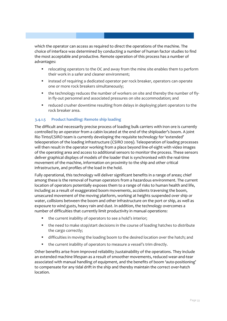which the operator can access as required to direct the operations of the machine. The choice of interface was determined by conducting a number of human factor studies to find the most acceptable and productive. Remote operation of this process has a number of advantages:

- relocating operators to the OC and away from the mine site enables them to perform their work in a safer and cleaner environment;
- **EXP** instead of requiring a dedicated operator per rock breaker, operators can operate one or more rock breakers simultaneously;
- the technology reduces the number of workers on site and thereby the number of flyin fly-out personnel and associated pressures on site accommodation; and
- reduced crusher downtime resulting from delays in deploying plant operators to the rock breaker area.

#### **3.4.1.5 Product handling: Remote ship loading**

The difficult and necessarily precise process of loading bulk carriers with iron ore is currently controlled by an operator from a cabin located at the end of the shiploader's boom. A joint Rio Tinto/CSIRO team is currently developing the requisite technology for 'extended' teleoperation of the loading infrastructure (CSIRO 2009). Teleoperation of loading processes will then result in the operator working from a place beyond line-of-sight with video images of the operating area and access to additional sensors to monitor the process. These sensors deliver graphical displays of models of the loader that is synchronised with the real-time movement of the machine, information on proximity to the ship and other critical infrastructure, and profiles of the load in the hold.

Fully operational, this technology will deliver significant benefits in a range of areas; chief among these is the removal of human operators from a hazardous environment. The current location of operators potentially exposes them to a range of risks to human health and life, including as a result of exaggerated boom movements, accidents traversing the boom, unsecured movement of the moving platform, working at heights suspended over ship or water, collisions between the boom and other infrastructure on the port or ship, as well as exposure to wind gusts, heavy rain and dust. In addition, the technology overcomes a number of difficulties that currently limit productivity in manual operations:

- the current inability of operators to see a hold's interior;
- the need to make stop/start decisions in the course of loading hatches to distribute the cargo correctly;
- difficulties in moving the loading boom to the desired location over the hatch; and
- the current inability of operators to measure a vessel's trim directly.

Other benefits arise from improved reliability /sustainability of the operations. They include an extended machine lifespan as a result of smoother movements, reduced wear-and-tear associated with manual handling of equipment, and the benefits of boom 'auto-positioning' to compensate for any tidal drift in the ship and thereby maintain the correct over-hatch location.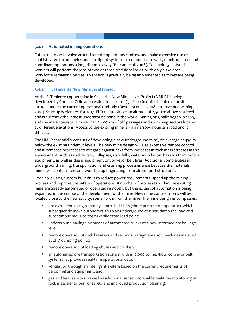#### **3.4.2 Automated mining operations**

Future mines will evolve around remote operations centres, and make extensive use of sophisticated technologies and intelligent systems to communicate with, monitor, direct and coordinate operations a long distance away (Bassan et al. 2008). Technology assisted workers will perform the jobs of two or three traditional roles, with only a skeleton workforce remaining on site. This vision is gradually being implemented as mines are being developed.

#### **3.4.2.1 El Teniente New Mine Level Project**

At the El Teniente copper mine in Chile, the New Mine Level Project (NMLP) is being developed by Codelco Chile at an estimated cost of \$3 billion in order to mine deposits located under the current operational orebody (Revuelta et al., 2008; International Mining, 2010). Start-up is planned for 2017. El Teniente sits at an altitude of 2,500 m above sea level and is currently the largest underground mine in the world. Mining originally began in 1905, and the mine consists of more than 2,400 km of old passages and six mining sectors located at different elevations. Access to the existing mine is via a narrow mountain road and is difficult.

The NMLP essentially consists of developing a new underground mine, on average at 350 m below the existing undercut levels. The new mine design will use extensive remote control and automated processes to mitigate against risks from increases in rock mass stresses in this environment, such as rock bursts, collapses, rock falls, water inundation, hazards from mobile equipment, as well as diesel equipment or conveyor belt fires. Additional complexities in underground mining, transportation and crushing processes arise because the materials mined will contain steel and wood scrap originating from old support structures.

Codelco is using custom-built drills to reduce power requirements, speed up the mining process and improve the safety of operations. A number of processes within the existing mine are already automated or operated remotely, but the extent of automation is being expanded in the course of the development of the mine. New mine control rooms will be located close to the nearest city, some 50 km from the mine. The mine design encompasses:

- ore extraction using remotely controlled LHDs (three per remote operator), which subsequently move autonomously to an underground crusher, dump the load and autonomous move to the next allocated load point;
- underground haulage by means of automated trucks at a new intermediate haulage level;
- **•** remote operation of rock breakers and secondary fragmentation machines installed at LHD dumping points;
- remote operation of loading chutes and crushers;
- an automated ore transportation system with a 10,000 tonnes/hour conveyor belt system that provides real-time operational data;
- ventilation through an intelligent system based on the current requirements of personnel and equipment; and
- gas and heat sensors, as well as additional sensors to enable real-time monitoring of rock mass behaviour for safety and improved production planning.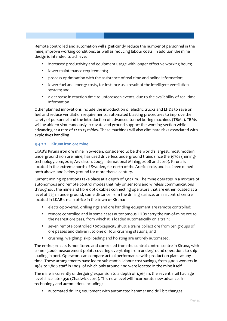Remote controlled and automation will significantly reduce the number of personnel in the mine, improve working conditions, as well as reducing labour costs. In addition the mine design is intended to achieve:

- increased productivity and equipment usage with longer effective working hours;
- lower maintenance requirements;
- process optimisation with the assistance of real-time and online information;
- **IDED** lower fuel and energy costs, for instance as a result of the intelligent ventilation system; and
- a decrease in reaction time to unforeseen events, due to the availability of real-time information.

Other planned innovations include the introduction of electric trucks and LHDs to save on fuel and reduce ventilation requirements, automated blasting procedures to improve the safety of personnel and the introduction of advanced tunnel boring machines (TBMs). TBMs will be able to simultaneously excavate and ground-support the working section while advancing at a rate of 12 to 15 m/day. These machines will also eliminate risks associated with explosives handling.

#### **3.4.2.2 Kiruna iron ore mine**

LKAB's Kiruna iron ore mine in Sweden, considered to be the world's largest, most modern underground iron ore mine, has used driverless underground trains since the 1970s (miningtechnology.com, 2011; Arvidsson, 2005; International Mining, 2008 and 2010). Kiruna is located in the extreme north of Sweden, far north of the Arctic circle, and has been mined both above- and below ground for more than a century.

Current mining operations take place at a depth of 1,045 m. The mine operates in a mixture of autonomous and remote control modes that rely on sensors and wireless communications throughout the mine and fibre optic cables connecting operators that are either located at a level of 775 m underground, some distance from the drilling surface, or in a control centre located in LKAB's main office in the town of Kiruna:

- electric-powered, drilling rigs and ore handling equipment are remote controlled;
- remote controlled and in some cases autonomous LHDs carry the run-of-mine ore to the nearest ore pass, from which it is loaded automatically on a train;
- seven remote controlled 500t-capacity shuttle trains collect ore from ten groups of ore passes and deliver it to one of four crushing stations; and
- crushing, weighing, skip loading and hoisting are entirely automated.

The entire process is monitored and controlled from the central control centre in Kiruna, with some 15,000 measurement points covering everything from underground operations to ship loading in port. Operators can compare actual performance with production plans at any time. These arrangements have led to substantial labour cost savings, from 3,000 workers in 1983 to 1,800 staff in 2003, of which only around 400 were located in the mine itself.

The mine is currently undergoing expansion to a depth of 1,365 m, the seventh rail haulage level since late 1950 (Chadwick 2010). This new level will incorporate new advances in technology and automation, including:

automated drilling equipment with automated hammer and drill bit changes;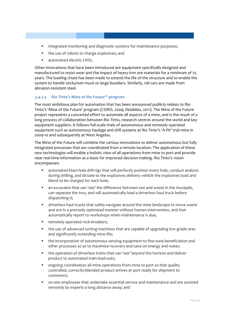- **Integrated monitoring and diagnostic systems for maintenance purposes;**
- the use of robots to charge explosives; and
- automated electric LHDs.

Other innovations that have been introduced are equipment specifically designed and manufactured to resist wear and the impact of heavy iron ore materials for a minimum of 25 years. The loading chute has been made to extend the life of the structure and to enable the system to handle sticky/wet muck or large boulders. Similarly, rail cars are made from abrasion-resistant steel.

#### **3.4.2.3 Rio Tinto's Mine of the Future™ program**

The most ambitious plan for automation that has been announced publicly relates to Rio Tinto's 'Mine of the Future' program (CSIRO, 2009; Delabbio, 2011). The Mine of the Future project represents a concerted effort to automate all aspects of a mine, and is the result of a long process of collaboration between Rio Tinto, research centres around the world and key equipment suppliers. It follows full-scale trials of autonomous and remotely operated equipment such as autonomous haulage and drill systems at Rio Tinto's 'A Pit' trial mine in 2009-10 and subsequently at West Angelas.

The Mine of the Future will combine the various innovations to deliver autonomous but fully integrated processes that are coordinated from a remote location. The application of these new technologies will enable a holistic view of all operations from mine to port and provide near real-time information as a basis for improved decision-making. Rio Tinto's vision encompasses:

- automated blast-hole drill rigs that will perfectly position every hole, conduct analysis during drilling, and dictate to the explosives delivery vehicle the explosives load and blend to be charged for each hole;
- an excavator that can 'see' the difference between ore and waste in the muckpile, can separate the two, and will automatically load a driverless haul truck before dispatching it;
- driverless haul trucks that safely navigate around the mine landscape to move waste and ore in a precisely optimised manner without human intervention, and that automatically report to workshops when maintenance is due;
- **F** remotely operated rock-breakers;
- the use of advanced sorting machines that are capable of upgrading low grade ores and significantly extending mine life;
- the incorporation of autonomous sensing equipment to fine-tune beneficiation and other processes so as to maximise recovery and save on energy and water;
- the operation of driverless trains that can 'see' beyond the horizon and deliver product to automated train load-outs;
- ongoing coordination all mine operations from mine to port so that quality controlled, correctly-blended product arrives at port ready for shipment to customers;
- on-site employees that undertake essential service and maintenance and are assisted remotely by experts a long distance away; and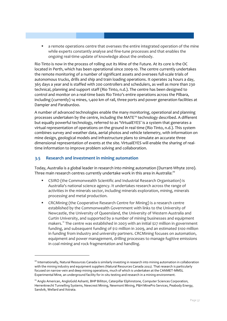a remote operations centre that oversees the entire integrated operation of the mine while experts constantly analyse and fine-tune processes and that enables the ongoing real-time update of knowledge about the orebody.

Rio Tinto is now in the process of rolling out its Mine of the Future. At its core is the OC located in Perth, which has been operational since 2009-10. The centre currently undertakes the remote monitoring of a number of significant assets and oversees full-scale trials of autonomous trucks, drills and ship and train loading operations. It operates 24 hours a day, 365 days a year and is staffed with 200 controllers and schedulers, as well as more than 230 technical, planning and support staff (Rio Tinto, n.d.). The centre has been designed to control and monitor on a real-time basis Rio Tinto's entire operations across the Pilbara, including (currently) 14 mines, 1,400 km of rail, three ports and power generation facilities at Dampier and Paraburdoo.

A number of advanced technologies enable the many monitoring, operational and planning processes undertaken by the centre, including the MATE™ technology described. A different but equally powerful technology, referred to as 'VirtualEYES' is a system that generates a virtual representation of operations on the ground in real time (Rio Tinto, n.d.). This system combines survey and weather data, aerial photos and vehicle telemetry, with information on mine design, geological models and infrastructure plans to simulate an accurate three dimensional representation of events at the site. VirtualEYES will enable the sharing of realtime information to improve problem solving and collaboration.

#### **3.5 Research and investment in mining automation**

<u>.</u>

Today, Australia is a global leader in research into mining automation (Durrant-Whyte 2010). Three main research centres currently undertake work in this area in Australia:<sup>[10](#page-42-0)</sup>

- CSIRO (the Commonwealth Scientific and Industrial Research Organisation) is Australia's national science agency. It undertakes research across the range of activities in the minerals sector, including minerals exploration, mining, minerals processing and metal production.
- CRCMining (the Cooperative Research Centre for Mining) is a research centre established by the Commonwealth Government with links to the University of Newcastle, the University of Queensland, the University of Western Australia and Curtin University, and supported by a number of mining businesses and equipment makers.[11](#page-42-1) The centre was established in 2003 with an initial \$27 million in government funding, and subsequent funding of \$12 million in 2009, and an estimated \$100 million in funding from industry and university partners. CRCMining focuses on automation, equipment and power management, drilling processes to manage fugitive emissions in coal mining and rock fragmentation and handling.

<span id="page-42-0"></span><sup>&</sup>lt;sup>10</sup> Internationally, Natural Resources Canada is similarly investing in research into mining automation in collaboration with the mining industry and equipment suppliers (Natural Resources Canada 2011). That research is particularly focused on narrow-vein and deep mining operations, much of which is undertaken at the CANMET-MMSL Experimental Mine, an underground facility for in-situ testing and research in a mining environment.

<span id="page-42-1"></span><sup>&</sup>lt;sup>11</sup> Anglo American, AngloGold Ashanti, BHP Billiton, Caterpillar Elphinstone, Computer Sciences Corporation, Herrenknecht Tunnelling Systems, Newcrest Mining, Newmont Mining, P&H MinePro Services, Peabody Energy, Sandvik, Wellard and Xstrata.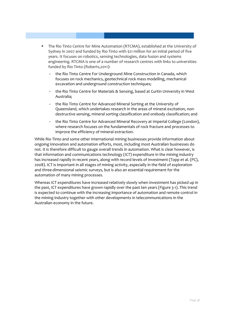- The Rio Tinto Centre for Mine Automation (RTCMA), established at the University of Sydney in 2007 and funded by Rio Tinto with \$21 million for an initial period of five years. It focuses on robotics, sensing technologies, data fusion and systems engineering. RTCMA is one of a number of research centres with links to universities funded by Rio Tinto (Roberts,2011):
	- the Rio Tinto Centre For Underground Mine Construction in Canada, which focuses on rock mechanics, geotechnical rock mass modelling, mechanical excavation and underground construction techniques;
	- the Rio Tinto Centre for Materials & Sensing, based at Curtin University in West Australia;
	- the Rio Tinto Centre for Advanced Mineral Sorting at the University of Queensland, which undertakes research in the areas of mineral excitation, nondestructive sensing, mineral sorting classification and orebody classification; and
	- the Rio Tinto Centre for Advanced Mineral Recovery at Imperial College (London), where research focuses on the fundamentals of rock fracture and processes to improve the efficiency of mineral extraction.

While Rio Tinto and some other international mining businesses provide information about ongoing innovation and automation efforts, most, including most Australian businesses do not. It is therefore difficult to gauge overall trends in automation. What is clear however, is that information and communications technology (ICT) expenditure in the mining industry has increased rapidly in recent years, along with record levels of investment (Topp et al. (PC), 2008). ICT is important in all stages of mining activity, especially in the field of exploration and three-dimensional seismic surveys, but is also an essential requirement for the automation of many mining processes.

Whereas ICT expenditures have increased relatively slowly when investment has picked up in the past, ICT expenditures have grown rapidly over the past ten years [\(Figure 3-1\)](#page-44-0). This trend is expected to continue with the increasing importance of automation and remote control in the mining industry together with other developments in telecommunications in the Australian economy in the future.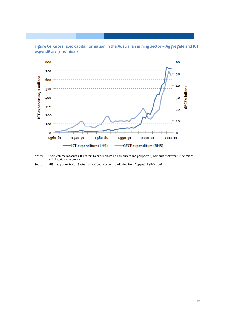<span id="page-44-0"></span>



Notes: Chain volume measures. ICT refers to expenditure on computers and peripherals, computer software, electronics and electrical equipment.

Source: ABS, 5204.0 Australian System of National Accounts; Adapted from Topp et al. (PC), 2008.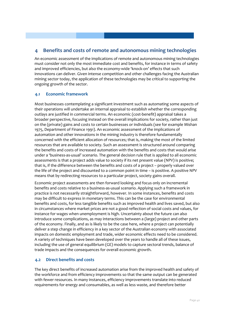#### <span id="page-45-0"></span>**4 Benefits and costs of remote and autonomous mining technologies**

An economic assessment of the implications of remote and autonomous mining technologies must consider not only the most immediate cost and benefits, for instance in terms of safety and improved efficiencies, but also the economy-wide 'knock-on' effects that such innovations can deliver. Given intense competition and other challenges facing the Australian mining sector today, the application of these technologies may be critical to supporting the ongoing growth of the sector.

#### **4.1 Economic framework**

Most businesses contemplating a significant investment such as automating some aspects of their operations will undertake an internal appraisal to establish whether the corresponding outlays are justified in commercial terms. An economic (cost-benefit) appraisal takes a broader perspective, focusing instead on the overall implications for society, rather than just on the (private) gains and costs to certain businesses or individuals (see for example Mishan 1975, Department of Finance 1991). An economic assessment of the implications of automation and other innovations in the mining industry is therefore fundamentally concerned with the efficient allocation of resources; that is, making the most of the limited resources that are available to society. Such an assessment is structured around comparing the benefits and costs of increased automation with the benefits and costs that would arise under a 'business-as-usual' scenario. The general decision rule that is applied to all economic assessments is that a project adds value to society if its net present value (NPV) is positive; that is, if the difference between the benefits and costs of a project – properly valued over the life of the project and discounted to a common point in time – is positive. A positive NPV means that by redirecting resources to a particular project, society gains overall.

Economic project assessments are then forward looking and focus only on incremental benefits and costs relative to a business-as-usual scenario. Applying such a framework in practice is not necessarily straightforward, however. In some instances, benefits and costs may be difficult to express in monetary terms. This can be the case for environmental benefits and costs, for less tangible benefits such as improved health and lives saved, but also in circumstances where market prices are not a good reflection of social costs and values, for instance for wages when unemployment is high. Uncertainty about the future can also introduce some complications, as may interactions between a (large) project and other parts of the economy. Finally, and as is likely to be the case here, where a project can potentially deliver a step change in efficiency in a key sector of the Australian economy with associated impacts on domestic employment and trade, wider economic effects need to be considered. A variety of techniques have been developed over the years to handle all of these issues, including the use of general equilibrium (GE) models to capture sectoral trends, balance of trade impacts and the consequences for overall economic growth.

#### **4.2 Direct benefits and costs**

The key direct benefits of increased automation arise from the improved health and safety of the workforce and from efficiency improvements so that the same output can be generated with fewer resources. In many instances, efficiency improvements translate into reduced requirements for energy and consumables, as well as less waste, and therefore better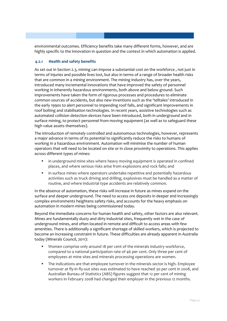environmental outcomes. Efficiency benefits take many different forms, however, and are highly specific to the innovation in question and the context in which automation is applied.

#### **4.2.1 Health and safety benefits**

As set out in Section [2.3,](#page-15-0) mining can impose a substantial cost on the workforce , not just in terms of injuries and possible lives lost, but also in terms of a range of broader health risks that are common in a mining environment. The mining industry has, over the years, introduced many incremental innovations that have improved the safety of personnel working in inherently hazardous environments, both above and below ground. Such improvements have taken the form of rigorous processes and procedures to eliminate common sources of accidents, but also new inventions such as the 'telltales' introduced in the early 1990s to alert personnel to impending roof falls, and significant improvements in roof bolting and stabilisation technologies. In recent years, assistive technologies such as automated collision detection devices have been introduced, both in underground and in surface mining, to protect personnel from moving equipment (as well as to safeguard these high value assets themselves).

The introduction of remotely controlled and autonomous technologies, however, represents a major advance in terms of its potential to significantly reduce the risks to humans of working in a hazardous environment. Automation will minimise the number of human operators that will need to be located on site or in close proximity to operations. This applies across different types of mines:

- **I** in underground mine sites where heavy moving equipment is operated in confined places, and where serious risks arise from explosions and rock falls; and
- in surface mines where operators undertake repetitive and potentially hazardous activities such as truck driving and drilling, explosives must be handled as a matter of routine, and where industrial type accidents are relatively common.

In the absence of automation, these risks will increase in future as mines expand on the surface and deeper underground. The need to access ore deposits in deeper and increasingly complex environments heightens safety risks, and accounts for the heavy emphasis on automation in modern mines being commissioned today.

Beyond the immediate concerns for human health and safety, other factors are also relevant. Mines are fundamentally dusty and dirty industrial sites, frequently wet in the case of underground mines, and often located in remote and difficult to access areas with few amenities. There is additionally a significant shortage of skilled workers, which is projected to become an increasing constraint in future. These difficulties are already apparent in Australia today (Minerals Council, 2011):

- Women comprise only around 18 per cent of the minerals industry workforce, compared to a national participation rate of 46 per cent. Only three per cent of employees at mine sites and minerals processing operations are women.
- The indications are that employee turnover in the minerals sector is high. Employee turnover at fly-in fly-out sites was estimated to have reached 30 per cent in 2008, and Australian Bureau of Statistics (ABS) figures suggest that 12 per cent of mining workers in February 2008 had changed their employer in the previous 12 months.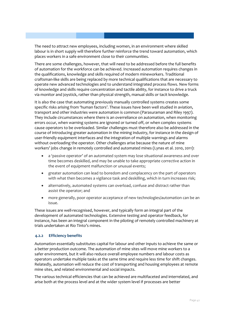The need to attract new employees, including women, in an environment where skilled labour is in short supply will therefore further reinforce the trend toward automation, which places workers in a safe environment close to their communities.

There are some challenges, however, that will need to be addressed before the full benefits of automation for the workforce can be achieved. Increased automation requires changes in the qualifications, knowledge and skills required of modern mineworkers. Traditional craftsman-like skills are being replaced by more technical qualifications that are necessary to operate new advanced technologies and to understand integrated process flows. New forms of knowledge and skills require concentration and tactile ability, for instance to drive a truck via monitor and joystick, rather than physical strength, manual skills or tacit knowledge.

It is also the case that automating previously manually controlled systems creates some specific risks arising from 'human factors'. These issues have been well studied in aviation, transport and other industries were automation is common (Parasuraman and Riley 1997). They include circumstances where there is an overreliance on automation, when monitoring errors occur, when warning systems are ignored or turned off, or when complex systems cause operators to be overloaded. Similar challenges must therefore also be addressed in the course of introducing greater automation in the mining industry, for instance in the design of user-friendly equipment interfaces and the integration of multiple warnings and alarms without overloading the operator. Other challenges arise because the nature of mine workers' jobs change in remotely controlled and automated mines (Lynas et al. 2010, 2011):

- a 'passive operator' of an automated system may lose situational awareness and over time becomes deskilled, and may be unable to take appropriate corrective action in the event of equipment malfunction or unusual events;
- greater automation can lead to boredom and complacency on the part of operators with what then becomes a vigilance task and deskilling, which in turn increases risk;
- alternatively, automated systems can overload, confuse and distract rather than assist the operator; and
- more generally, poor operator acceptance of new technologies/automation can be an issue.

These issues are well-recognised, however, and typically form an integral part of the development of automated technologies. Extensive testing and operator feedback, for instance, has been an integral component in the piloting of remotely controlled machinery at trials undertaken at Rio Tinto's mines.

#### **4.2.2 Efficiency benefits**

Automation essentially substitutes capital for labour and other inputs to achieve the same or a better production outcome. The automation of mine sites will move mine workers to a safer environment, but it will also reduce overall employee numbers and labour costs as operators undertake multiple tasks at the same time and require less time for shift changes. Relatedly, automation will reduce the cost of transporting and housing employees at remote mine sites, and related environmental and social impacts.

The various technical efficiencies that can be achieved are multifaceted and interrelated, and arise both at the process level and at the wider system level if processes are better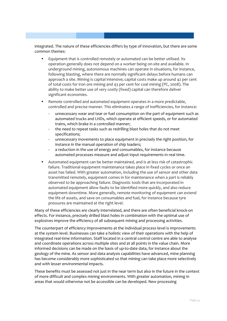integrated. The nature of these efficiencies differs by type of innovation, but there are some common themes:

- Equipment that is controlled remotely or automated can be better utilised. Its operation generally does not depend on a worker being on-site and available. In underground mining, autonomous machines can operate in situations, for instance, following blasting, where there are normally significant delays before humans can approach a site. Mining is capital intensive; capital costs make up around 42 per cent of total costs for iron ore mining and 43 per cent for coal mining (PC, 2008). The ability to make better use of very costly (fixed) capital can therefore deliver significant economies.
- Remote controlled and automated equipment operates in a more predictable, controlled and precise manner. This eliminates a range of inefficiencies, for instance:
	- unnecessary wear and tear or fuel consumption on the part of equipment such as automated trucks and LHDs, which operate at efficient speeds, or for automated trains, which brake in a controlled manner;
	- the need to repeat tasks such as redrilling blast holes that do not meet specifications;
	- unnecessary movements to place equipment in precisely the right position, for instance in the manual operation of ship loaders;
	- a reduction in the use of energy and consumables, for instance because automated processes measure and adjust input requirements in real time.
- Automated equipment can be better maintained, and is at less risk of catastrophic failure. Traditional equipment maintenance takes place in fixed cycles or once an asset has failed. With greater automation, including the use of sensor and other data transmitted remotely, equipment comes in for maintenance when a part is reliably observed to be approaching failure. Diagnostic tools that are incorporated in automated equipment allow faults to be identified more quickly, and also reduce equipment downtime. More generally, remote monitoring of equipment can extend the life of assets, and save on consumables and fuel, for instance because tyre pressures are maintained at the right level.

Many of these efficiencies are clearly interrelated, and there are often beneficial knock-on effects. For instance, precisely drilled blast holes in combination with the optimal use of explosives improve the efficiency of all subsequent mining and processing activities.

The counterpart of efficiency improvements at the individual process level is improvements at the system level. Businesses can take a holistic view of their operations with the help of integrated real-time information. Staff located in a central control centre are able to analyse and coordinate operations across multiple sites and at all points in the value chain. More informed decisions can be made on the basis of up-to-date data, for instance about the geology of the mine. As sensor and data analysis capabilities have advanced, mine planning has become considerably more sophisticated so that mining can take place more selectively and with lesser environmental impacts.

These benefits must be assessed not just in the near term but also in the future in the context of more difficult and complex mining environments. With greater automation, mining in areas that would otherwise not be accessible can be developed. New processing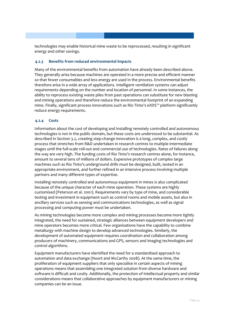technologies may enable historical mine waste to be reprocessed, resulting in significant energy and other savings.

#### **4.2.3 Benefits from reduced environmental impacts**

Many of the environmental benefits from automation have already been described above. They generally arise because machines are operated in a more precise and efficient manner so that fewer consumables and less energy are used in the process. Environmental benefits therefore arise in a wide array of applications. Intelligent ventilation systems can adjust requirements depending on the number and location of personnel. In some instances, the ability to reprocess existing waste piles from past operations can substitute for new blasting and mining operations and therefore reduce the environmental footprint of an expanding mine. Finally, significant process innovations such as Rio Tinto's eXDS™ platform significantly reduce energy requirements.

#### **4.2.4 Costs**

Information about the cost of developing and installing remotely controlled and autonomous technologies is not in the public domain, but these costs are understood to be substantial. As described in Section [3.2,](#page-28-1) creating step-change innovation is a long, complex, and costly process that stretches from R&D undertaken in research centres to multiple intermediate stages until the full-scale roll-out and commercial use of technologies. Rates of failures along the way are very high. The funding costs of Rio Tinto's research centres alone, for instance, amount to several tens of millions of dollars. Expensive prototypes of complex large machines such as Rio Tinto's underground drills must be designed, built, tested in an appropriate environment, and further refined in an intensive process involving multiple partners and many different types of expertise.

Installing remotely controlled and autonomous equipment in mines is also complicated because of the unique character of each mine operation. These systems are highly customised (Peterson et al. 2001). Requirements vary by type of mine, and considerable testing and investment in equipment such as control rooms and mobile assets, but also in ancillary services such as sensing and communications technologies, as well as signal processing and computing power must be undertaken.

As mining technologies become more complex and mining processes become more tightly integrated, the need for sustained, strategic alliances between equipment developers and mine operators becomes more critical. Few organisations have the capability to combine metallurgy with machine design to develop advanced technologies. Similarly, the development of automated equipment requires coordination and collaboration among producers of machinery, communications and GPS, sensors and imaging technologies and control algorithms.

Equipment manufacturers have identified the need for a standardised approach to automation and data exchange (Noort and McCarthy 2008). At the same time, the proliferation of equipment suppliers that only specialise in certain aspects of mining operations means that assembling one integrated solution from diverse hardware and software is difficult and costly. Additionally, the protection of intellectual property and similar considerations means that collaborative approaches by equipment manufacturers or mining companies can be an issue.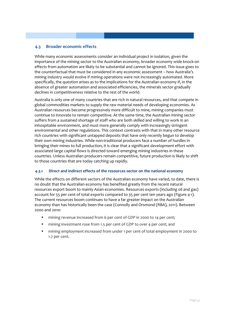#### **4.3 Broader economic effects**

While many economic assessments consider an individual project in isolation, given the importance of the mining sector to the Australian economy, broader economy wide knock-on effects from automation are likely to be substantial and cannot be ignored. This issue goes to the counterfactual that must be considered in any economic assessment – how Australia's mining industry would evolve if mining operations were not increasingly automated. More specifically, the question arises as to the implications for the Australian economy if, in the absence of greater automation and associated efficiencies, the minerals sector gradually declines in competitiveness relative to the rest of the world.

Australia is only one of many countries that are rich in natural resources, and that compete in global commodities markets to supply the raw material needs of developing economies. As Australian resources become progressively more difficult to mine, mining companies must continue to innovate to remain competitive. At the same time, the Australian mining sector suffers from a sustained shortage of staff who are both skilled and willing to work in an inhospitable environment, and must more generally comply with increasingly stringent environmental and other regulations. This context contrasts with that in many other resource rich countries with significant untapped deposits that have only recently begun to develop their own mining industries. While non-traditional producers face a number of hurdles in bringing their mines to full production, it is clear that a significant development effort with associated large capital flows is directed toward emerging mining industries in these countries. Unless Australian producers remain competitive, future production is likely to shift to those countries that are today catching up rapidly.

#### **4.3.1 Direct and indirect effects of the resources sector on the national economy**

While the effects on different sectors of the Australian economy have varied, to date, there is no doubt that the Australian economy has benefited greatly from the recent natural resources export boom to mainly Asian economies. Resources exports (including oil and gas) account for 55 per cent of total exports compared to 35 per cent ten years ago (Figure 4-1). The current resources boom continues to have a far greater impact on the Australian economy than has historically been the case (Connolly and Orsmond (RBA), 2011). Between 2000 and 2010:

- mining revenue increased from 6 per cent of GDP in 2000 to 14 per cent;
- mining investment rose from 1.5 per cent of GDP to over 4 per cent; and
- mining employment increased from under 1 per cent of total employment in 2000 to 1.7 per cent.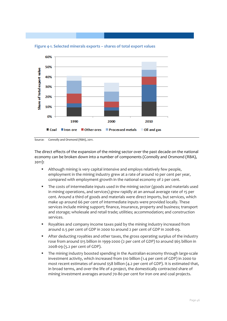

**Figure 4-1. Selected minerals exports – shares of total export values**

Source: Connolly and Orsmond (RBA), 2011.

The direct effects of the expansion of the mining sector over the past decade on the national economy can be broken down into a number of components (Connolly and Orsmond (RBA), 2011):

- Although mining is very capital intensive and employs relatively few people, employment in the mining industry grew at a rate of around 10 per cent per year, compared with employment growth in the national economy of 2 per cent.
- The costs of intermediate inputs used in the mining sector (goods and materials used in mining operations, and services) grew rapidly at an annual average rate of 15 per cent. Around a third of goods and materials were direct imports, but services, which make up around 66 per cent of intermediate inputs were provided locally. These services include mining support; finance, insurance, property and business; transport and storage; wholesale and retail trade; utilities; accommodation; and construction services.
- Royalties and company income taxes paid by the mining industry increased from around 0.5 per cent of GDP in 2000 to around 2 per cent of GDP in 2008-09.
- After deducting royalties and other taxes, the gross operating surplus of the industry rose from around \$15 billion in 1999-2000 (2 per cent of GDP) to around \$65 billion in 2008-09 (5.2 per cent of GDP).
- The mining industry boosted spending in the Australian economy through large-scale investment activity, which increased from \$10 billion (1.4 per cent of GDP) in 2000 to most recent estimates of around \$58 billion (4.2 per cent of GDP). It is estimated that, in broad terms, and over the life of a project, the domestically contracted share of mining investment averages around 70-80 per cent for iron ore and coal projects.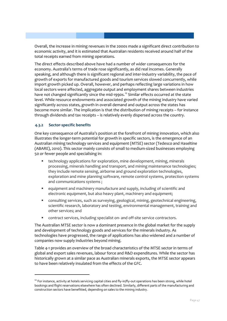Overall, the increase in mining revenues in the 2000s made a significant direct contribution to economic activity, and it is estimated that Australian residents received around half of the total receipts earned from mining operations.

The direct effects described above have had a number of wider consequences for the economy. Australia's terms of trade rose significantly, as did real incomes. Generally speaking, and although there is significant regional and inter-industry variability, the pace of growth of exports for manufactured goods and tourism services slowed concurrently, while import growth picked up. Overall, however, and perhaps reflecting large variations in how local sectors were affected, aggregate output and employment shares between industries have not changed significantly since the mid-1990s.<sup>[12](#page-52-0)</sup> Similar effects occurred at the state level. While resource endowments and associated growth of the mining industry have varied significantly across states, growth in overall demand and output across the states has become more similar. The implication is that the distribution of mining receipts – for instance through dividends and tax receipts – is relatively evenly dispersed across the country.

#### **4.3.2 Sector-specific benefits**

<u>.</u>

One key consequence of Australia's position at the forefront of mining innovation, which also illustrates the longer-term potential for growth in specific sectors, is the emergence of an Australian mining technology services and equipment (MTSE) sector (Tedesco and Haseltine (ABARE), 2010). This sector mainly consists of small to medium-sized businesses employing 50 or fewer people and specialising in:

- technology applications for exploration, mine development, mining, minerals processing, minerals handling and transport, and mining maintenance technologies; they include remote sensing, airborne and ground exploration technologies, exploration and mine planning software, remote control systems, protection systems and communications systems ;
- equipment and machinery manufacture and supply, including of scientific and electronic equipment, but also heavy plant, machinery and equipment;
- consulting services, such as surveying, geological, mining, geotechnical engineering, scientific research, laboratory and testing, environmental management, training and other services; and
- contract services, including specialist on- and off-site service contractors.

The Australian MTSE sector is now a dominant presence in the global market for the supply and development of technology goods and services for the minerals industry. As technologies have progressed, the range of applications has also widened and a number of companies now supply industries beyond mining.

[Table 4-1](#page-53-0) provides an overview of the broad characteristics of the MTSE sector in terms of global and export sales revenues, labour force and R&D expenditures. While the sector has historically grown at a similar pace as Australian minerals exports, the MTSE sector appears to have been relatively insulated from the effects of the GFC.

<span id="page-52-0"></span> $12$  For instance, activity at hotels servicing capital cities and fly-in/fly-out operations has been strong, while hotel bookings and flight reservations elsewhere has often declined. Similarly, different parts of the manufacturing and construction sectors have benefitted, depending on sales to the mining industry.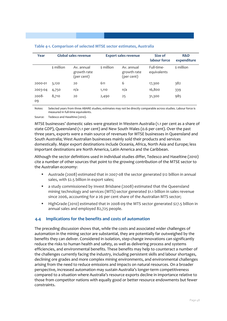| Year        | Global sales revenue |                                         | <b>Export sales revenue</b> |                                         | Size of<br>labour force   | R&D<br>expenditure |
|-------------|----------------------|-----------------------------------------|-----------------------------|-----------------------------------------|---------------------------|--------------------|
|             | \$ million           | Av. annual<br>growth rate<br>(per cent) | \$ million                  | Av. annual<br>growth rate<br>(per cent) | Full-time-<br>equivalents | \$ million         |
| 2000-01     | 3,120                | 20                                      | 611                         | 6                                       | 17,300                    | 382                |
| 2003-04     | 4,750                | n/a                                     | 1,110                       | n/a                                     | 16,800                    | 339                |
| 2008-<br>09 | 8,710                | 20                                      | 2,490                       | 25                                      | 31,300                    | 985                |

#### <span id="page-53-0"></span>**Table 4-1. Comparison of selected MTSE sector estimates, Australia**

Notes: Selected years from three ABARE studies; estimates may not be directly comparable across studies. Labour force is measured in full-time equivalents.

Source: Tedesco and Haseltine (2010).

MTSE businesses' domestic sales were greatest in Western Australia (1.1 per cent as a share of state GDP), Queensland (1.1 per cent) and New South Wales (0.6 per cent). Over the past three years, exports were a main source of revenues for MTSE businesses in Queensland and South Australia; West Australian businesses mainly sold their products and services domestically. Major export destinations include Oceania, Africa, North Asia and Europe; less important destinations are North America, Latin America and the Caribbean.

Although the sector definitions used in individual studies differ, Tedesco and Haseltine (2010) cite a number of other sources that point to the growing contribution of the MTSE sector to the Australian economy:

- Austrade (2008) estimated that in 2007-08 the sector generated \$12 billion in annual sales, with \$2.5 billion in export sales;
- a study commissioned by Invest Brisbane (2008) estimated that the Queensland mining technology and services (MTS) sector generated \$1.1 billion in sales revenue since 2006, accounting for a 26 per cent share of the Australian MTS sector;
- HighGrade (2010) estimated that in 2008-09 the MTS sector generated \$27.5 billion in annual sales and employed 82,725 people.

#### **4.4 Implications for the benefits and costs of automation**

The preceding discussion shows that, while the costs and associated wider challenges of automation in the mining sector are substantial, they are potentially far outweighed by the benefits they can deliver. Considered in isolation, step-change innovations can significantly reduce the risks to human health and safety, as well as delivering process and systems efficiencies, and environmental benefits. These benefits may help to counteract a number of the challenges currently facing the industry, including persistent skills and labour shortages, declining ore grades and more complex mining environments, and environmental challenges arising from the need to reduce emissions and impacts on natural resources. On a broader perspective, increased automation may sustain Australia's longer-term competitiveness compared to a situation where Australia's resource exports decline in importance relative to those from competitor nations with equally good or better resource endowments but fewer constraints.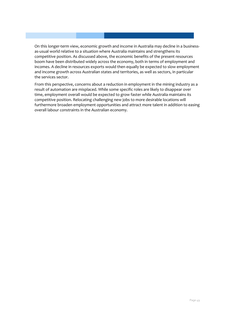On this longer-term view, economic growth and income in Australia may decline in a businessas-usual world relative to a situation where Australia maintains and strengthens its competitive position. As discussed above, the economic benefits of the present resources boom have been distributed widely across the economy, both in terms of employment and incomes. A decline in resources exports would then equally be expected to slow employment and income growth across Australian states and territories, as well as sectors, in particular the services sector.

From this perspective, concerns about a reduction in employment in the mining industry as a result of automation are misplaced. While some specific roles are likely to disappear over time, employment overall would be expected to grow faster while Australia maintains its competitive position. Relocating challenging new jobs to more desirable locations will furthermore broaden employment opportunities and attract more talent in addition to easing overall labour constraints in the Australian economy.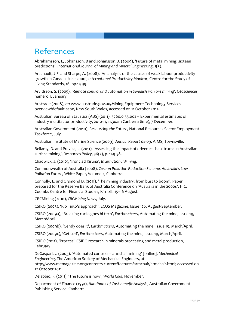### References

Abrahamsson, L, Johansson, B and Johansson, J. (2oo9), 'Future of metal mining: sixteen predictions', *International Journal of Mining and Mineral Engineering*, 1(3).

Arsenault, J-F. and Sharpe, A. (2008), 'An analysis of the causes of weak labour productivity growth in Canada since 2000', *International Productivity Monitor*, Centre for the Study of Living Standards, 16, pp.14-39.

Arvidsson, S. (2005), '*Remote control and automation in Swedish iron ore mining*', *Géosciences*, numéro 1, January.

Austrade (2008), at: www.austrade.gov.au/Mining-Equipment-Technology-Servicesoverview/default.aspx, New South Wales, accessed on 11 October 2011.

Australian Bureau of Statistics (ABS) (2011), 5260.0.55.002 – Experimental estimates of industry multifactor productivity, 2010-11, 11.30am Canberra time), 7 December.

Australian Government (2010), *Resourcing the Future*, National Resources Sector Employment Taskforce, July.

Australian Institute of Marine Science (2009), *Annual Report 08-09*, AIMS, Townsville.

Bellamy, D. and Pravica, L. (2011), 'Assessing the impact of driverless haul trucks in Australian surface mining', *Resources Policy*, 36(2), p. 149-58.

Chadwick, J. (2010), 'Ironclad Kiruna', *International Mining*.

Commonwealth of Australia (2008), *Carbon Pollution Reduction Scheme, Australia's Low Pollution Future*, White Paper, Volume 2, Canberra.

Connolly, E. and Orsmond D. (2011), 'The mining industry: from bust to boom', Paper prepared for the Reserve Bank of Australia Conference on 'Australia in the 2000s', H.C. Coombs Centre for Financial Studies, Kirribilli 15–16 August.

CRCMining (2010), *CRCMining News*, July.

CSIRO (2005), 'Rio Tinto's approach', ECOS Magazine, Issue 126, August-September.

CSIRO (2009a), 'Breaking rocks goes hi-tech', *Earthmatters*, Automating the mine, Issue 19, March/April.

CSIRO (2009b), 'Gently does it', *Earthmatters*, Automating the mine, Issue 19, March/April.

CSIRO (2009c), 'Get set!', *Earthmatters*, Automating the mine, Issue 19, March/April.

CSIRO (2011), 'Process', CSIRO research in minerals processing and metal production, February.

DeGaspari, J. (2003), 'Automated controls – armchair mining' [online], *Mechanical Engineering*, The American Society of Mechanical Engineers, at: http://www.memagazine.org/contents current/features/armchair/armchair.html; accessed on 12 October 2011.

Delabbio, F. (2011), 'The future is now', *World Coal*, November.

Department of Finance (1991), *Handbook of Cost-benefit Analysis*, Australian Government Publishing Service, Canberra.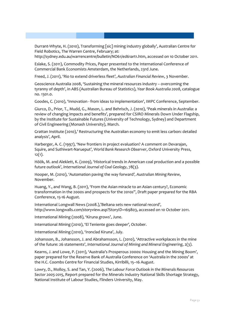Durrant-Whyte, H. (2010), Transforming [sic] mining industry globally', Australian Centre for Field Robotics, The Warren Centre, February; at:

http://sydney.edu.au/warrencentre/bulletin/NO61/ed61art1.htm, accessed on 10 October 2011.

Eslake, S. (2011), Commodity Prices, Paper presented to the International Conference of Commercial Bank Economists Amsterdam, the Netherlands, 23rd June.

Freed, J. (2011), 'Rio to extend driverless fleet', *Australian Financial Review*, 3 November.

Geoscience Australia 2008, 'Sustaining the mineral resources industry – overcoming the tyranny of depth', in ABS (Australian Bureau of Statistics), *Year Book Australia 2008*, catalogue no. 1301.0.

Goodes, C. (2010), 'Innovation - from ideas to implementation', IMPC Conference, September.

Giurco, D., Prior, T., Mudd, G., Mason, L. and Behrisch, J. (2010), 'Peak minerals in Australia: a review of changing impacts and benefits', prepared for CSIRO Minerals Down Under Flagship, by the Institute for Sustainable Futures (University of Technology, Sydney) and Department of Civil Engineering (Monash University), March.

Grattan Institute (2010),' Restructuring the Australian economy to emit less carbon: detailed analysis', April.

Harberger, A. C. (1997), 'New frontiers in project evaluation? A comment on Devarajan, Squire, and Suthiwart-Narueput', *World Bank Research Observer*, Oxford University Press, 12(1).

Höök, M. and Aleklett, K. (2009), 'Historical trends in American coal production and a possible future outlook', *International Journal of Coal Geology*, 78(3).

Hooper, M. (2010), 'Automation paving the way forward*', Australian Mining Review*, November.

Huang, Y., and Wang, B. (2011), 'From the Asian miracle to an Asian century?, Economic transformation in the 2000s and prospects for the 2010*s*", Draft paper prepared for the RBA Conference, 15-16 August.

International Longwall News (2008.),'Beltana sets new national record', http://www.longwalls.com/storyview.asp?StoryID=169803, accessed on 10 October 2011.

International Mining (2008), 'Kiruna grows', June.

International Mining (2010), 'El Teniente goes deeper', October.

International Mining (2010), 'Ironclad Kiruna', July.

Johansson, B., Johansson, J. and Abrahamsson, L. (2010), 'Attractive workplaces in the mine of the future: 26 statements', *International Journal of Mining and Mineral Engineering*, 2(3).

Kearns, J. and Lowe, P. (2011), 'Australia's Prosperous 2000s: Housing and the Mining Boom', paper prepared for the Reserve Bank of Australia Conference on 'Australia in the 2000s' at the H.C. Coombs Centre for Financial Studies, Kirribilli, 15–16 August.

Lowry, D., Molloy, S. and Tan, Y. (2006), *The Labour Force Outlook in the Minerals Resources Sector 2005-2015*, Report prepared for the Minerals Industry National Skills Shortage Strategy, National Institute of Labour Studies, Flinders University, May.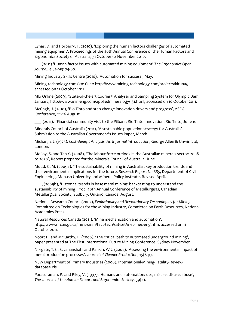Lynas, D. and Horberry, T. (2010), 'Exploring the human factors challenges of automated mining equipment', Proceedings of the 46th Annual Conference of the Human Factors and Ergonomics Society of Australia, 31 October - 2 November 2010.

\_\_\_ (2011) 'Human factor issues with automated mining equipment' *The Ergonomics Open Journal*, 4 S2-M3: 74-80.

Mining Industry Skills Centre (2010), 'Automation for success', May.

Mining-technology.com (2011), at: http://www.mining-technology.com/projects/kiruna/, accessed on 12 October 2011.

MEi Online (2009), 'State-of-the-art Courier® Analyser and Sampling System for Olympic Dam, January; http://www.min-eng.com/appliedmineralogy/131.html, accessed on 10 October 2011.

McGagh, J. (2010), 'Rio Tinto and step-change innovation drivers and progress', ASEG Conference, 22-26 August.

\_\_\_ (2011), 'Financial community visit to the Pilbara: Rio Tinto Innovation, Rio Tinto, June 10.

Minerals Council of Australia (2011), 'A sustainable population strategy for Australia'*,*  Submission to the Australian Government's Issues Paper, March.

Mishan, E.J. (1975), *Cost-Benefit Analysis: An Informal Introduction*, George Allen & Unwin Ltd, London.

Molloy, S. and Tan Y. (2008), 'The labour force outlook in the Australian minerals sector: 2008 to 2020', Report prepared for the Minerals Council of Australia, June.

Mudd, G. M. (2009a), 'The sustainability of mining in Australia : key production trends and their environmental implications for the future, *Research Report No RR5*, Department of Civil Engineering, Monash University and Mineral Policy Institute, Revised April.

\_\_\_ , (2009b), 'Historical trends in base metal mining: backcasting to understand the sustainability of mining, Proc. 48th Annual Conference of Metallurgists, Canadian Metallurgical Society, Sudbury, Ontario, Canada, August.

National Research Council (2002), *Evolutionary and Revolutionary Technologies for Mining*, Committee on Technologies for the Mining Industry, Committee on Earth Resources, National Academies Press.

Natural Resources Canada (2011), 'Mine mechanization and automation', http://www.nrcan.gc.ca/mms-smm/tect-tech/sat-set/mec-mec-eng.htm, accessed on 11 October 2011.

Noort D. and McCarthy, P. (2008), 'The critical path to automated underground mining', paper presented at The First International Future Mining Conference, Sydney November.

Norgate, T.E., S. Jahanshahi and Rankin, W.J. (2007), 'Assessing the environmental impact of metal production processes', *Journal of Cleaner Production*, 15(8-9).

NSW Department of Primary Industries (2008), International-Mining-Fatality-Reviewdatabase.xls.

Parasuraman, R. and Riley, V. (1997), 'Humans and automation: use, misuse, disuse, abuse', *The Journal of the Human Factors and Ergonomics Society*, 39(2).